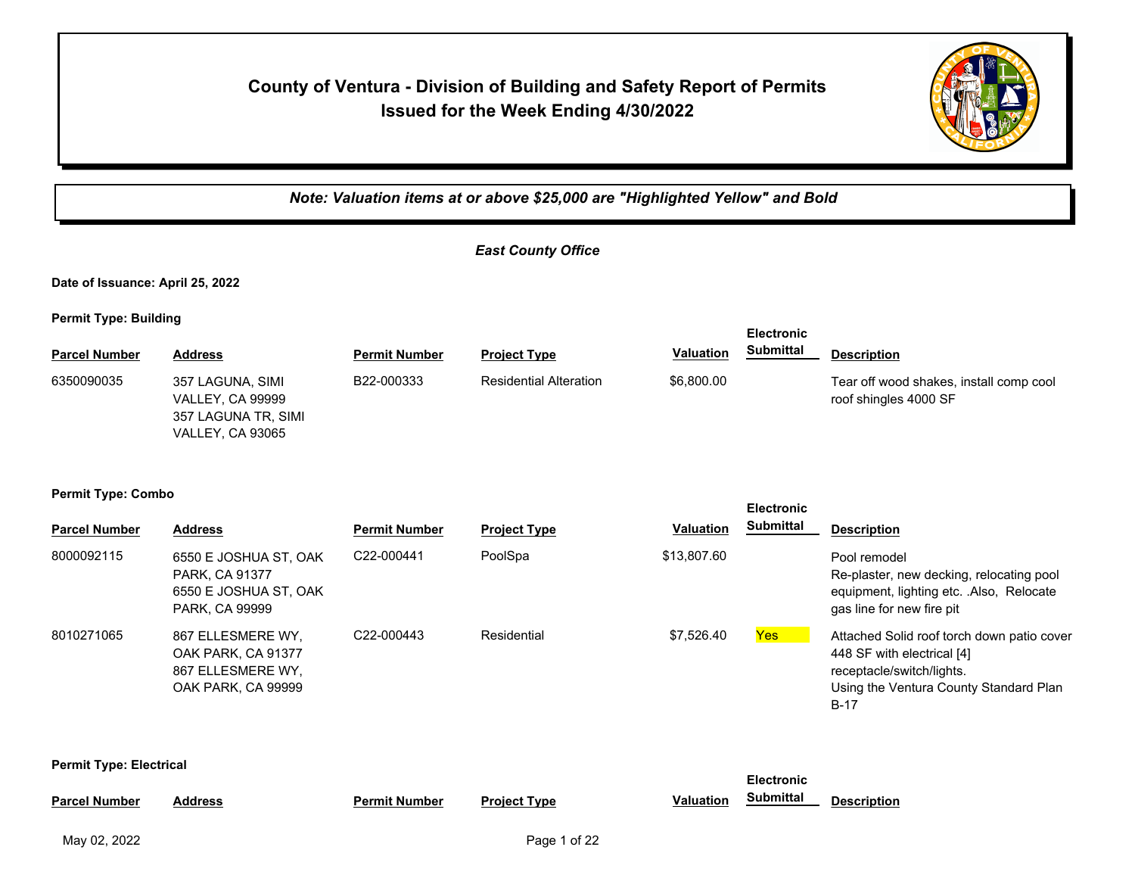# **County of Ventura - Division of Building and Safety Report of Permits Issued for the Week Ending 4/30/2022**



*Note: Valuation items at or above \$25,000 are "Highlighted Yellow" and Bold*

### *East County Office*

**Date of Issuance: April 25, 2022**

**Permit Type: Building**

|                      |                                                                                               |                      |                               |                  | <b>EIECITONIC</b> |                                                                  |
|----------------------|-----------------------------------------------------------------------------------------------|----------------------|-------------------------------|------------------|-------------------|------------------------------------------------------------------|
| <b>Parcel Number</b> | Address                                                                                       | <b>Permit Number</b> | <b>Project Type</b>           | <b>Valuation</b> | Submittal         | <b>Description</b>                                               |
| 6350090035           | 357 LAGUNA, SIMI<br><b>VALLEY, CA 99999</b><br>357 LAGUNA TR, SIMI<br><b>VALLEY, CA 93065</b> | B22-000333           | <b>Residential Alteration</b> | \$6,800.00       |                   | Tear off wood shakes, install comp cool<br>roof shingles 4000 SF |

**Electronic** 

**Electronic** 

**Electronic** 

#### **Permit Type: Combo**

| <b>Parcel Number</b> | <b>Address</b>                                                                     | <b>Permit Number</b> | <b>Project Type</b> | Valuation   | 니다 어디 어디 나<br><b>Submittal</b> | <b>Description</b>                                                                                                                                        |
|----------------------|------------------------------------------------------------------------------------|----------------------|---------------------|-------------|--------------------------------|-----------------------------------------------------------------------------------------------------------------------------------------------------------|
| 8000092115           | 6550 E JOSHUA ST, OAK<br>PARK, CA 91377<br>6550 E JOSHUA ST, OAK<br>PARK, CA 99999 | C22-000441           | PoolSpa             | \$13,807.60 |                                | Pool remodel<br>Re-plaster, new decking, relocating pool<br>equipment, lighting etc. .Also, Relocate<br>gas line for new fire pit                         |
| 8010271065           | 867 ELLESMERE WY,<br>OAK PARK, CA 91377<br>867 ELLESMERE WY.<br>OAK PARK, CA 99999 | C22-000443           | Residential         | \$7,526.40  | Yes                            | Attached Solid roof torch down patio cover<br>448 SF with electrical [4]<br>receptacle/switch/lights.<br>Using the Ventura County Standard Plan<br>$B-17$ |

**Permit Type: Electrical**

|                      |         |                      |                     |                  | <b>EIGCUOIIIC</b> |                    |  |
|----------------------|---------|----------------------|---------------------|------------------|-------------------|--------------------|--|
| <b>Parcel Number</b> | Address | <b>Permit Number</b> | <b>Project Type</b> | <b>Valuation</b> | Submittal         | <b>Description</b> |  |
|                      |         |                      |                     |                  |                   |                    |  |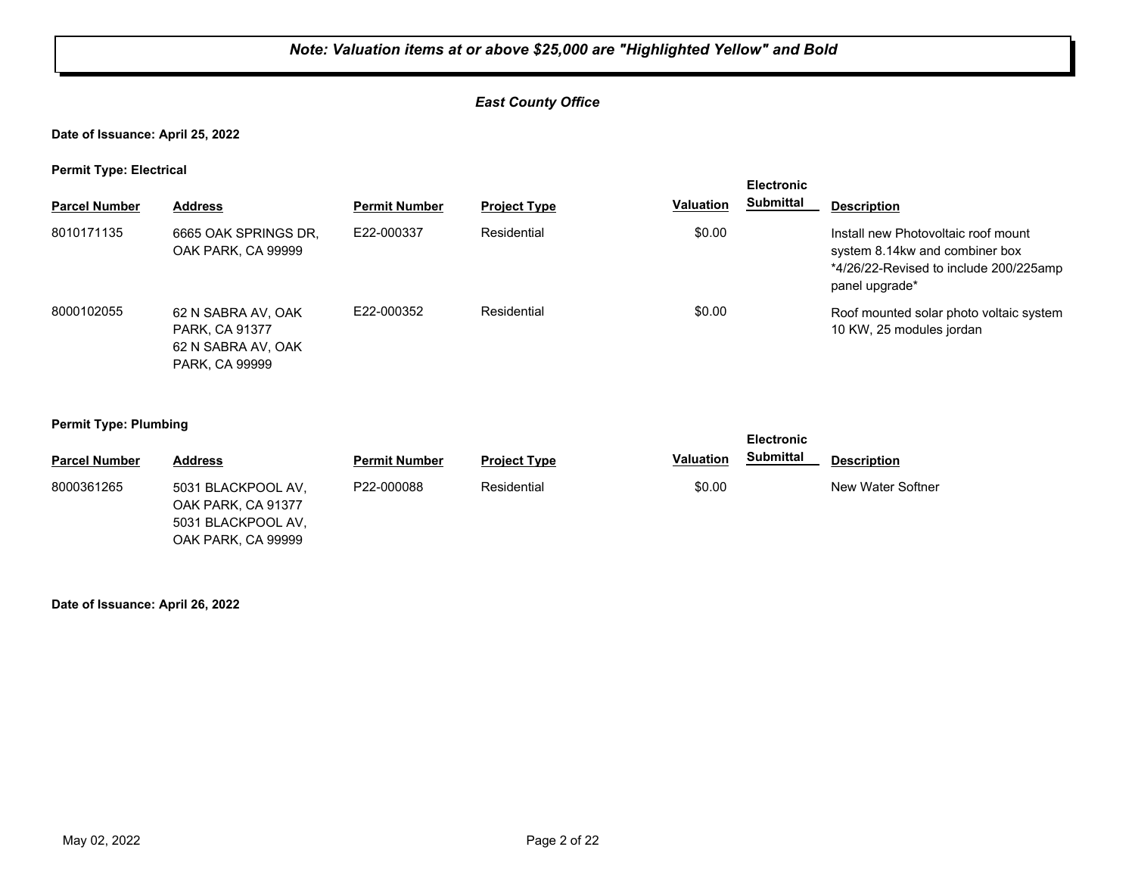#### *East County Office*

**Date of Issuance: April 25, 2022**

**Permit Type: Electrical**

| . .                  |                                                                              |                      |                     |                  | <b>Electronic</b> |                                                                                                                                   |
|----------------------|------------------------------------------------------------------------------|----------------------|---------------------|------------------|-------------------|-----------------------------------------------------------------------------------------------------------------------------------|
| <b>Parcel Number</b> | <b>Address</b>                                                               | <b>Permit Number</b> | <b>Project Type</b> | <b>Valuation</b> | <b>Submittal</b>  | <b>Description</b>                                                                                                                |
| 8010171135           | 6665 OAK SPRINGS DR,<br>OAK PARK, CA 99999                                   | E22-000337           | Residential         | \$0.00           |                   | Install new Photovoltaic roof mount<br>system 8.14kw and combiner box<br>*4/26/22-Revised to include 200/225amp<br>panel upgrade* |
| 8000102055           | 62 N SABRA AV, OAK<br>PARK, CA 91377<br>62 N SABRA AV, OAK<br>PARK, CA 99999 | E22-000352           | Residential         | \$0.00           |                   | Roof mounted solar photo voltaic system<br>10 KW, 25 modules jordan                                                               |

#### **Permit Type: Plumbing**

|                      |                                                                |                      |                     |                  | <b>Electronic</b> |                    |
|----------------------|----------------------------------------------------------------|----------------------|---------------------|------------------|-------------------|--------------------|
| <b>Parcel Number</b> | <b>Address</b>                                                 | <b>Permit Number</b> | <b>Project Type</b> | <b>Valuation</b> | <b>Submittal</b>  | <b>Description</b> |
| 8000361265           | 5031 BLACKPOOL AV,<br>OAK PARK, CA 91377<br>5031 BLACKPOOL AV, | P22-000088           | Residential         | \$0.00           |                   | New Water Softner  |
|                      | OAK PARK, CA 99999                                             |                      |                     |                  |                   |                    |

#### **Date of Issuance: April 26, 2022**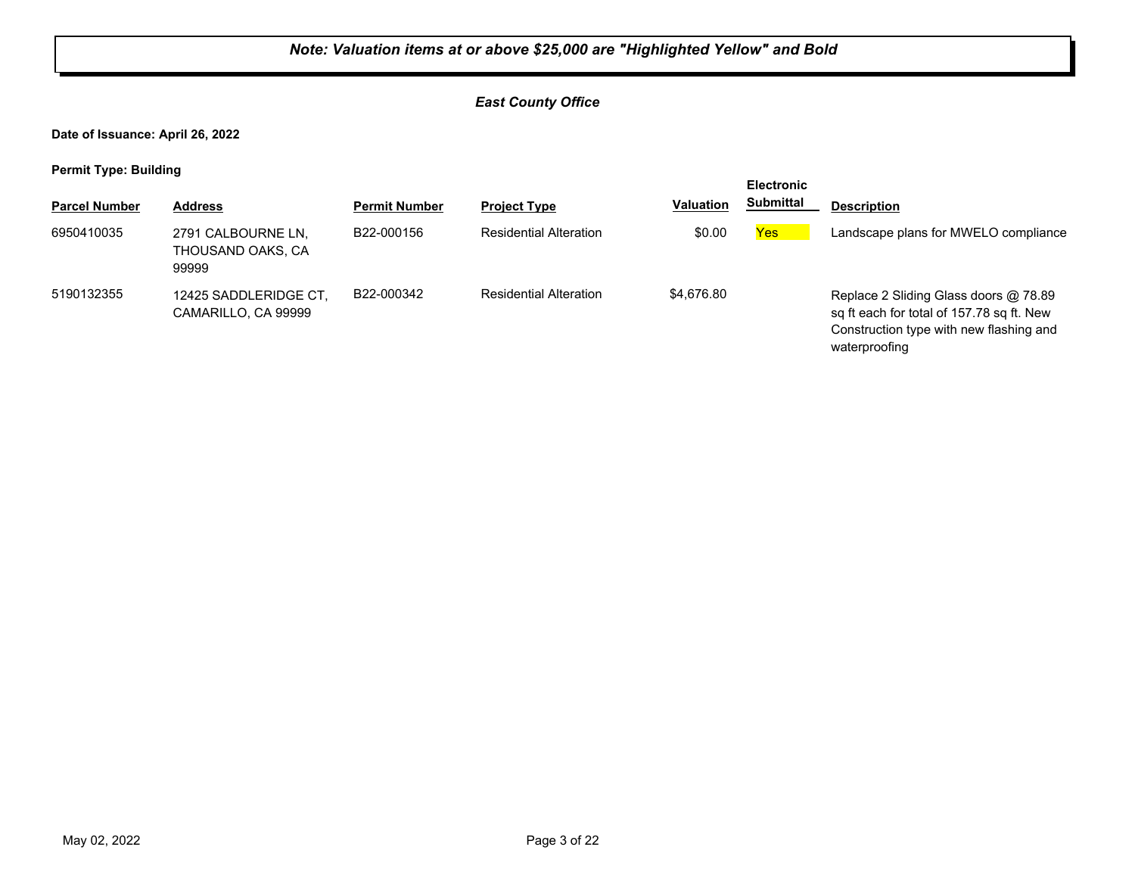#### *East County Office*

**Date of Issuance: April 26, 2022**

**Permit Type: Building**

| . .                  |                                                  |                      |                               |                  | <b>Electronic</b> |                                                                                                                                                |
|----------------------|--------------------------------------------------|----------------------|-------------------------------|------------------|-------------------|------------------------------------------------------------------------------------------------------------------------------------------------|
| <b>Parcel Number</b> | <b>Address</b>                                   | <b>Permit Number</b> | <b>Project Type</b>           | <b>Valuation</b> | <b>Submittal</b>  | <b>Description</b>                                                                                                                             |
| 6950410035           | 2791 CALBOURNE LN,<br>THOUSAND OAKS, CA<br>99999 | B22-000156           | <b>Residential Alteration</b> | \$0.00           | Yes               | Landscape plans for MWELO compliance                                                                                                           |
| 5190132355           | 12425 SADDLERIDGE CT.<br>CAMARILLO, CA 99999     | B22-000342           | <b>Residential Alteration</b> | \$4,676.80       |                   | Replace 2 Sliding Glass doors @ 78.89<br>sq ft each for total of 157.78 sq ft. New<br>Construction type with new flashing and<br>waterproofing |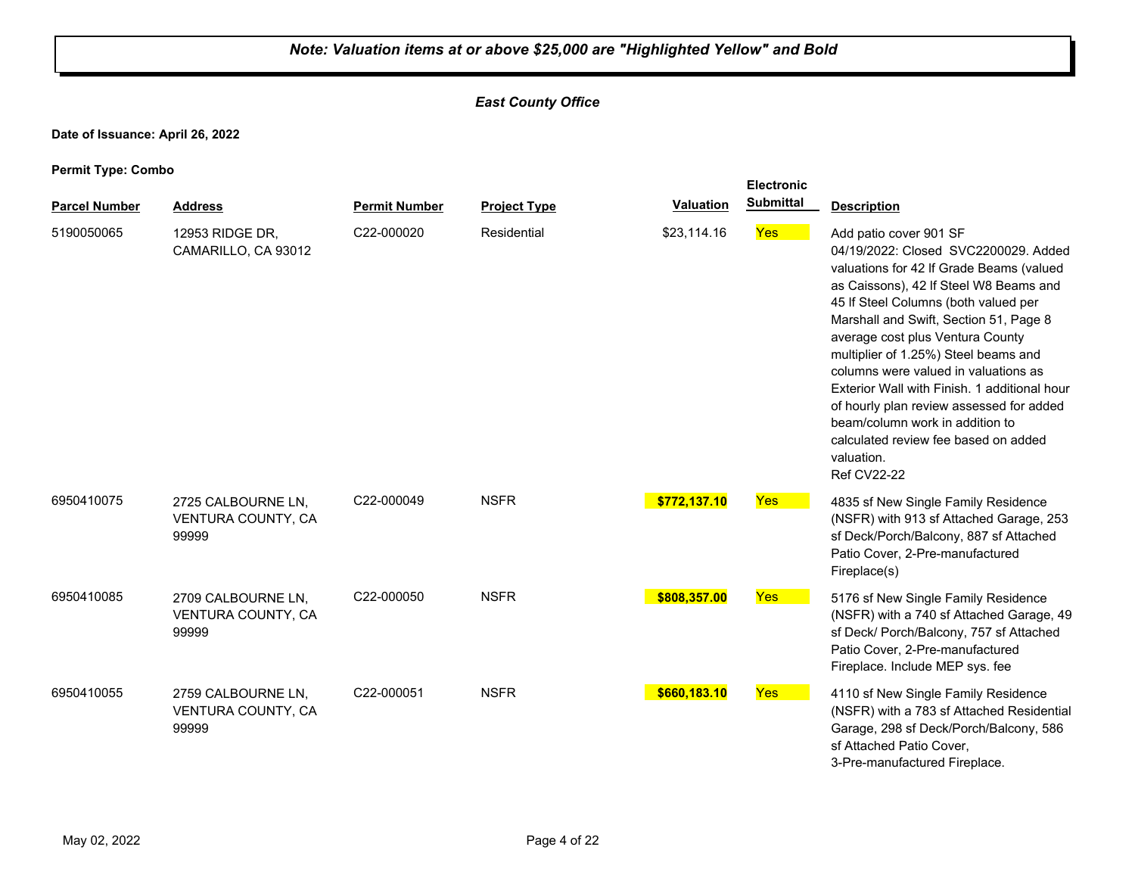## *East County Office*

**Date of Issuance: April 26, 2022**

|                      |                                                   | <b>Electronic</b>    |                     |                  |                  |                                                                                                                                                                                                                                                                                                                                                                                                                                                                                                                                                                       |
|----------------------|---------------------------------------------------|----------------------|---------------------|------------------|------------------|-----------------------------------------------------------------------------------------------------------------------------------------------------------------------------------------------------------------------------------------------------------------------------------------------------------------------------------------------------------------------------------------------------------------------------------------------------------------------------------------------------------------------------------------------------------------------|
| <b>Parcel Number</b> | <b>Address</b>                                    | <b>Permit Number</b> | <b>Project Type</b> | <b>Valuation</b> | <b>Submittal</b> | <b>Description</b>                                                                                                                                                                                                                                                                                                                                                                                                                                                                                                                                                    |
| 5190050065           | 12953 RIDGE DR.<br>CAMARILLO, CA 93012            | C22-000020           | Residential         | \$23,114.16      | Yes              | Add patio cover 901 SF<br>04/19/2022: Closed SVC2200029. Added<br>valuations for 42 If Grade Beams (valued<br>as Caissons), 42 If Steel W8 Beams and<br>45 If Steel Columns (both valued per<br>Marshall and Swift, Section 51, Page 8<br>average cost plus Ventura County<br>multiplier of 1.25%) Steel beams and<br>columns were valued in valuations as<br>Exterior Wall with Finish. 1 additional hour<br>of hourly plan review assessed for added<br>beam/column work in addition to<br>calculated review fee based on added<br>valuation.<br><b>Ref CV22-22</b> |
| 6950410075           | 2725 CALBOURNE LN,<br>VENTURA COUNTY, CA<br>99999 | C22-000049           | <b>NSFR</b>         | \$772,137.10     | Yes              | 4835 sf New Single Family Residence<br>(NSFR) with 913 sf Attached Garage, 253<br>sf Deck/Porch/Balcony, 887 sf Attached<br>Patio Cover, 2-Pre-manufactured<br>Fireplace(s)                                                                                                                                                                                                                                                                                                                                                                                           |
| 6950410085           | 2709 CALBOURNE LN.<br>VENTURA COUNTY, CA<br>99999 | C22-000050           | <b>NSFR</b>         | \$808,357.00     | <b>Yes</b>       | 5176 sf New Single Family Residence<br>(NSFR) with a 740 sf Attached Garage, 49<br>sf Deck/ Porch/Balcony, 757 sf Attached<br>Patio Cover, 2-Pre-manufactured<br>Fireplace. Include MEP sys. fee                                                                                                                                                                                                                                                                                                                                                                      |
| 6950410055           | 2759 CALBOURNE LN,<br>VENTURA COUNTY, CA<br>99999 | C22-000051           | <b>NSFR</b>         | \$660,183.10     | <b>Yes</b>       | 4110 sf New Single Family Residence<br>(NSFR) with a 783 sf Attached Residential<br>Garage, 298 sf Deck/Porch/Balcony, 586<br>sf Attached Patio Cover,<br>3-Pre-manufactured Fireplace.                                                                                                                                                                                                                                                                                                                                                                               |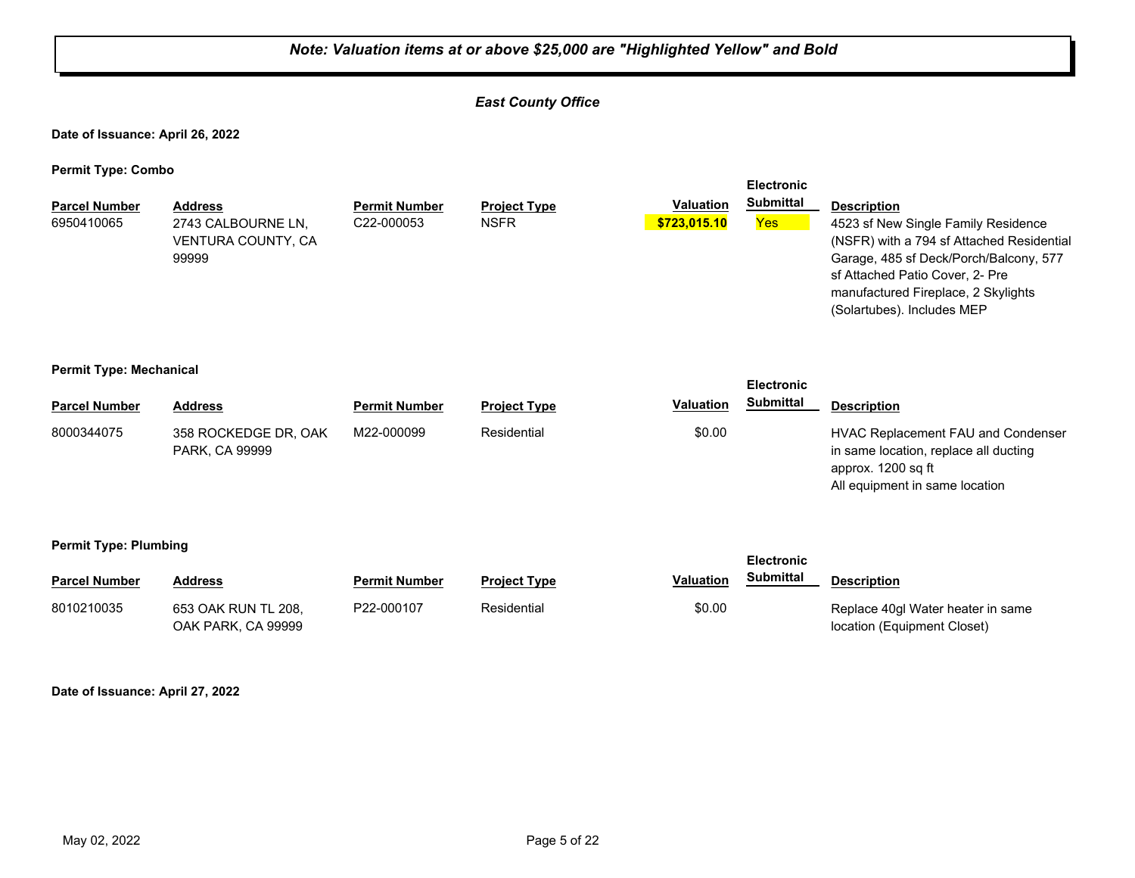#### *East County Office*

**Date of Issuance: April 26, 2022**

**Permit Type: Combo**

| <b>Parcel Number</b><br>6950410065 | <b>Address</b><br>2743 CALBOURNE LN.<br><b>VENTURA COUNTY, CA</b><br>99999 | <b>Permit Number</b><br>C <sub>22</sub> -000053 | <b>Project Type</b><br><b>NSFR</b> | <b>Valuation</b><br>\$723,015,10 | <b>Submittal</b><br><b>Yes</b> | <b>Description</b><br>4523 sf New Single Family Residence<br>(NSFR) with a 794 sf Attached Residential<br>Garage, 485 sf Deck/Porch/Balcony, 577<br>sf Attached Patio Cover, 2- Pre<br>manufactured Fireplace, 2 Skylights<br>(Solartubes). Includes MEP |
|------------------------------------|----------------------------------------------------------------------------|-------------------------------------------------|------------------------------------|----------------------------------|--------------------------------|----------------------------------------------------------------------------------------------------------------------------------------------------------------------------------------------------------------------------------------------------------|
|                                    |                                                                            |                                                 |                                    |                                  |                                |                                                                                                                                                                                                                                                          |

**Electronic** 

#### **Permit Type: Mechanical**

|                      |                                        |                      |                     |           | <b>Electronic</b> |                                                                                                                                     |
|----------------------|----------------------------------------|----------------------|---------------------|-----------|-------------------|-------------------------------------------------------------------------------------------------------------------------------------|
| <b>Parcel Number</b> | <b>Address</b>                         | <b>Permit Number</b> | <b>Project Type</b> | Valuation | <b>Submittal</b>  | <b>Description</b>                                                                                                                  |
| 8000344075           | 358 ROCKEDGE DR, OAK<br>PARK, CA 99999 | M22-000099           | Residential         | \$0.00    |                   | HVAC Replacement FAU and Condenser<br>in same location, replace all ducting<br>approx. 1200 sq ft<br>All equipment in same location |

#### **Permit Type: Plumbing**

| --                   |                                           |                      |                     |                  | <b>Electronic</b> |                                                                  |
|----------------------|-------------------------------------------|----------------------|---------------------|------------------|-------------------|------------------------------------------------------------------|
| <b>Parcel Number</b> | <b>Address</b>                            | <b>Permit Number</b> | <b>Project Type</b> | <b>Valuation</b> | Submittal         | <b>Description</b>                                               |
| 8010210035           | 653 OAK RUN TL 208.<br>OAK PARK, CA 99999 | P22-000107           | Residential         | \$0.00           |                   | Replace 40gl Water heater in same<br>location (Equipment Closet) |

**Date of Issuance: April 27, 2022**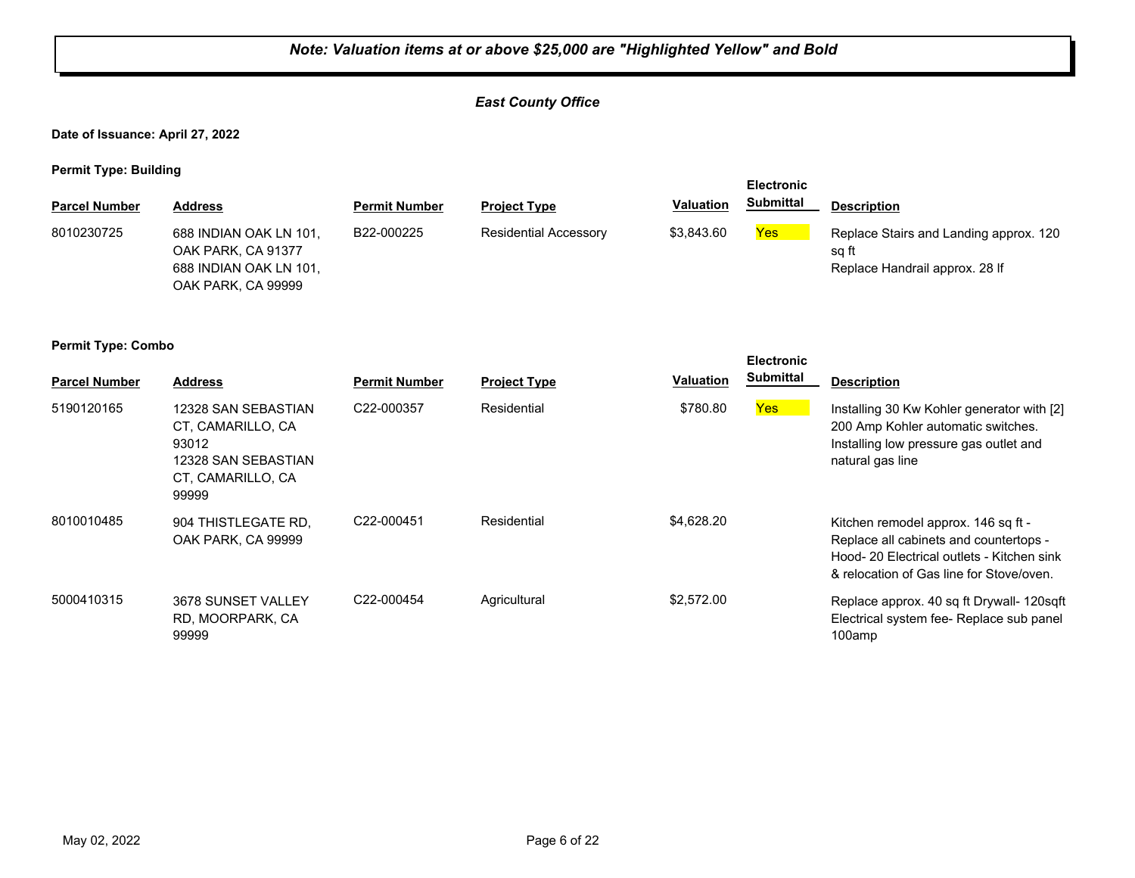#### *East County Office*

**Date of Issuance: April 27, 2022**

**Permit Type: Building**

|                      |                                                                                              |                      |                              |                  | <b>Electronic</b> |                                                                                   |
|----------------------|----------------------------------------------------------------------------------------------|----------------------|------------------------------|------------------|-------------------|-----------------------------------------------------------------------------------|
| <b>Parcel Number</b> | <b>Address</b>                                                                               | <b>Permit Number</b> | <b>Project Type</b>          | <b>Valuation</b> | <b>Submittal</b>  | <b>Description</b>                                                                |
| 8010230725           | 688 INDIAN OAK LN 101,<br>OAK PARK, CA 91377<br>688 INDIAN OAK LN 101,<br>OAK PARK, CA 99999 | B22-000225           | <b>Residential Accessory</b> | \$3,843.60       | Yes               | Replace Stairs and Landing approx. 120<br>sq ft<br>Replace Handrail approx. 28 If |

| . .<br><b>Parcel Number</b> | <b>Address</b>                                                                                         | <b>Permit Number</b> | <b>Project Type</b> | <b>Valuation</b> | <b>Electronic</b><br><b>Submittal</b> | <b>Description</b>                                                                                                                                                      |
|-----------------------------|--------------------------------------------------------------------------------------------------------|----------------------|---------------------|------------------|---------------------------------------|-------------------------------------------------------------------------------------------------------------------------------------------------------------------------|
| 5190120165                  | 12328 SAN SEBASTIAN<br>CT, CAMARILLO, CA<br>93012<br>12328 SAN SEBASTIAN<br>CT, CAMARILLO, CA<br>99999 | C22-000357           | Residential         | \$780.80         | Yes                                   | Installing 30 Kw Kohler generator with [2]<br>200 Amp Kohler automatic switches.<br>Installing low pressure gas outlet and<br>natural gas line                          |
| 8010010485                  | 904 THISTLEGATE RD.<br>OAK PARK, CA 99999                                                              | C22-000451           | Residential         | \$4,628.20       |                                       | Kitchen remodel approx. 146 sq ft -<br>Replace all cabinets and countertops -<br>Hood- 20 Electrical outlets - Kitchen sink<br>& relocation of Gas line for Stove/oven. |
| 5000410315                  | 3678 SUNSET VALLEY<br>RD, MOORPARK, CA<br>99999                                                        | C22-000454           | Agricultural        | \$2,572.00       |                                       | Replace approx. 40 sq ft Drywall- 120sqft<br>Electrical system fee- Replace sub panel<br>100amp                                                                         |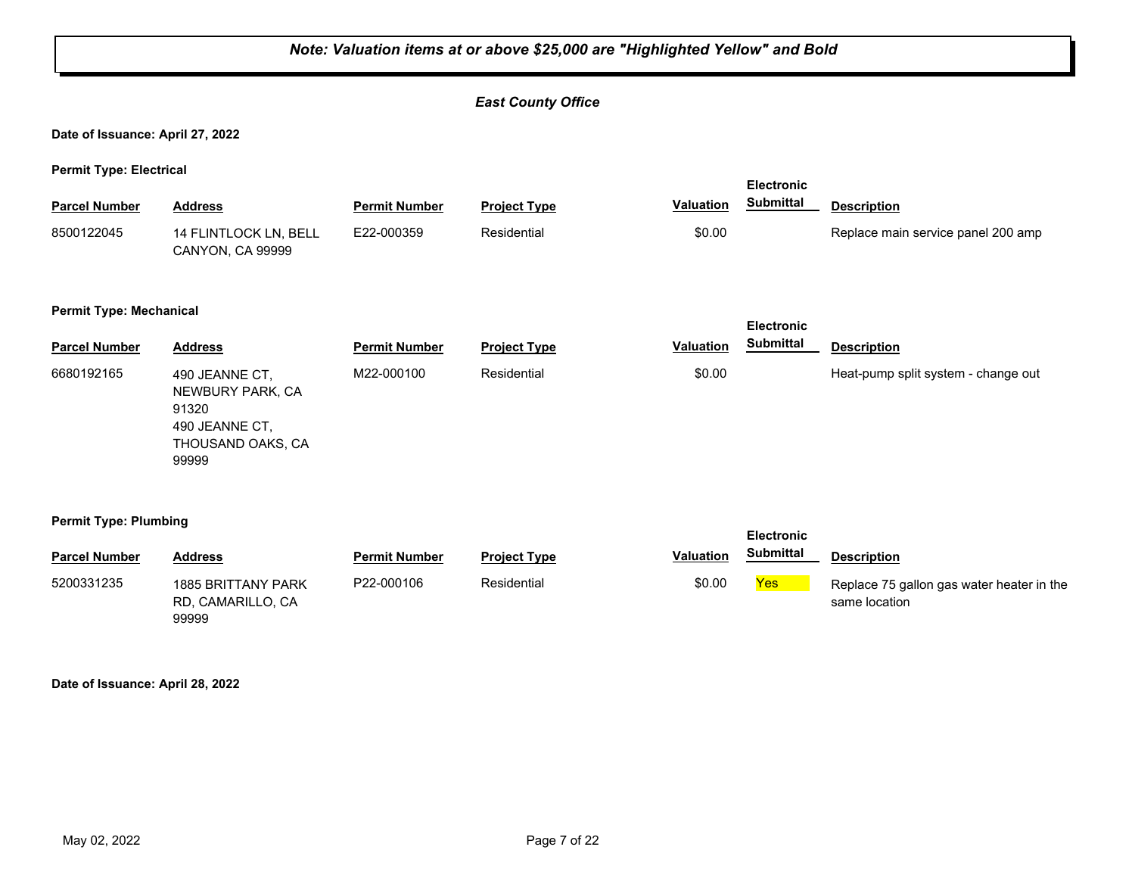#### *East County Office*

**Date of Issuance: April 27, 2022**

**Permit Type: Electrical**

| <b>Parcel Number</b>           | <b>Address</b>                                                                              | <b>Permit Number</b> | <b>Project Type</b> | <b>Valuation</b> | <b>Electronic</b><br><b>Submittal</b> | <b>Description</b>                  |
|--------------------------------|---------------------------------------------------------------------------------------------|----------------------|---------------------|------------------|---------------------------------------|-------------------------------------|
| 8500122045                     | 14 FLINTLOCK LN, BELL<br>CANYON, CA 99999                                                   | E22-000359           | Residential         | \$0.00           |                                       | Replace main service panel 200 amp  |
| <b>Permit Type: Mechanical</b> |                                                                                             |                      |                     |                  | <b>Electronic</b>                     |                                     |
| <b>Parcel Number</b>           | <b>Address</b>                                                                              | <b>Permit Number</b> | <b>Project Type</b> | <b>Valuation</b> | <b>Submittal</b>                      | <b>Description</b>                  |
| 6680192165                     | 490 JEANNE CT,<br>NEWBURY PARK, CA<br>91320<br>490 JEANNE CT,<br>THOUSAND OAKS, CA<br>99999 | M22-000100           | Residential         | \$0.00           |                                       | Heat-pump split system - change out |
| <b>Permit Type: Plumbing</b>   |                                                                                             |                      |                     |                  | <b>Electronic</b><br><b>Submittal</b> |                                     |
| <b>Parcel Number</b>           | <b>Address</b>                                                                              | <b>Permit Number</b> | <b>Project Type</b> | <b>Valuation</b> |                                       | <b>Description</b>                  |

|                                                                                                                                                                                                | ו פוטקו וזעווואקו |
|------------------------------------------------------------------------------------------------------------------------------------------------------------------------------------------------|-------------------|
| \$0.00<br>5200331235<br>P22-000106<br>Yes <sup>1</sup><br>Residential<br><b>1885 BRITTANY PARK</b><br>Replace 75 gallon gas water heater in the<br>RD. CAMARILLO. CA<br>same location<br>99999 |                   |

**Date of Issuance: April 28, 2022**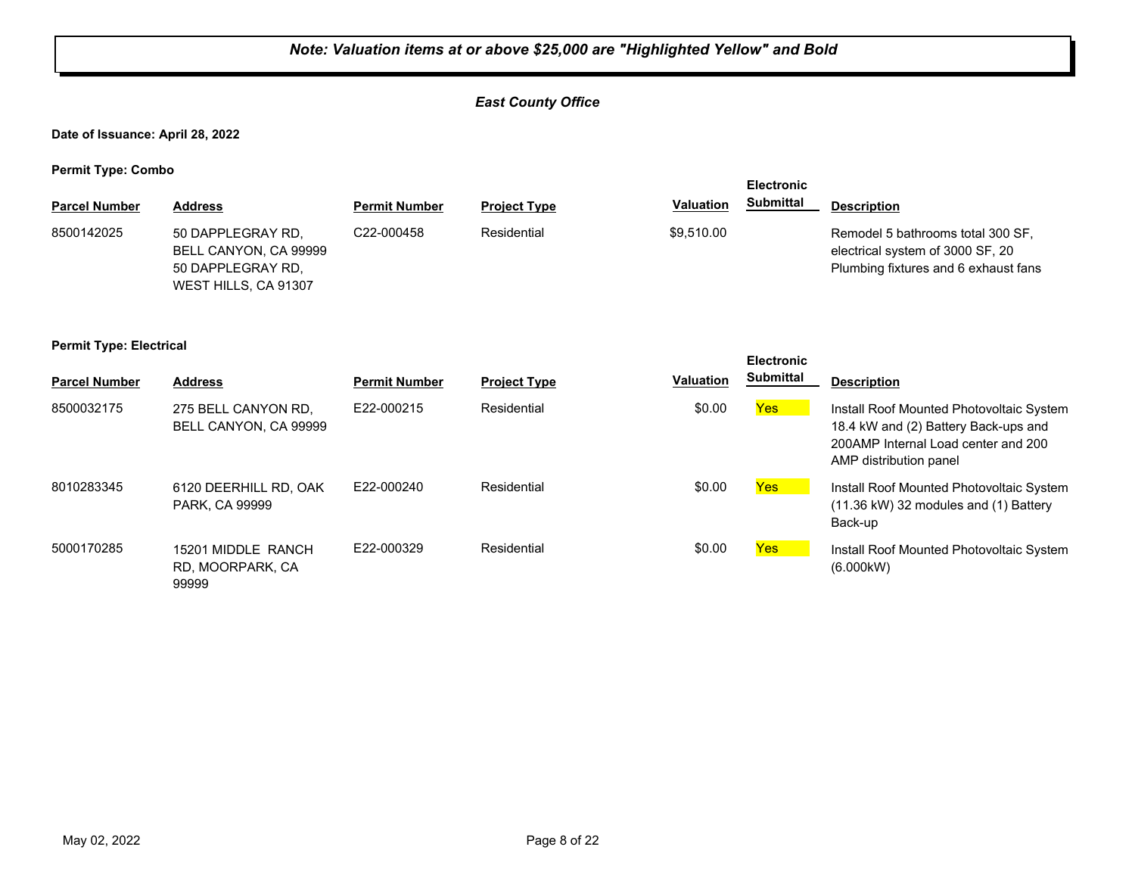#### *East County Office*

**Date of Issuance: April 28, 2022**

**Permit Type: Combo**

| - -<br><b>Parcel Number</b> | <b>Address</b>                                                                          | <b>Permit Number</b> | <b>Project Type</b> | <b>Valuation</b> | <b>Electronic</b><br><b>Submittal</b> | <b>Description</b>                                                                                            |
|-----------------------------|-----------------------------------------------------------------------------------------|----------------------|---------------------|------------------|---------------------------------------|---------------------------------------------------------------------------------------------------------------|
| 8500142025                  | 50 DAPPLEGRAY RD.<br>BELL CANYON, CA 99999<br>50 DAPPLEGRAY RD.<br>WEST HILLS, CA 91307 | C22-000458           | Residential         | \$9,510.00       |                                       | Remodel 5 bathrooms total 300 SF,<br>electrical system of 3000 SF, 20<br>Plumbing fixtures and 6 exhaust fans |

#### **Permit Type: Electrical**

| . .                  |                                                 |                      |                     |                  | <b>Electronic</b> |                                                                                                                                                   |
|----------------------|-------------------------------------------------|----------------------|---------------------|------------------|-------------------|---------------------------------------------------------------------------------------------------------------------------------------------------|
| <b>Parcel Number</b> | <b>Address</b>                                  | <b>Permit Number</b> | <b>Project Type</b> | <b>Valuation</b> | <b>Submittal</b>  | <b>Description</b>                                                                                                                                |
| 8500032175           | 275 BELL CANYON RD.<br>BELL CANYON, CA 99999    | E22-000215           | Residential         | \$0.00           | Yes               | Install Roof Mounted Photovoltaic System<br>18.4 kW and (2) Battery Back-ups and<br>200AMP Internal Load center and 200<br>AMP distribution panel |
| 8010283345           | 6120 DEERHILL RD. OAK<br>PARK, CA 99999         | E22-000240           | Residential         | \$0.00           | Yes               | Install Roof Mounted Photovoltaic System<br>$(11.36 \text{ kW})$ 32 modules and $(1)$ Battery<br>Back-up                                          |
| 5000170285           | 15201 MIDDLE RANCH<br>RD, MOORPARK, CA<br>99999 | E22-000329           | Residential         | \$0.00           | Yes               | Install Roof Mounted Photovoltaic System<br>(6.000kW)                                                                                             |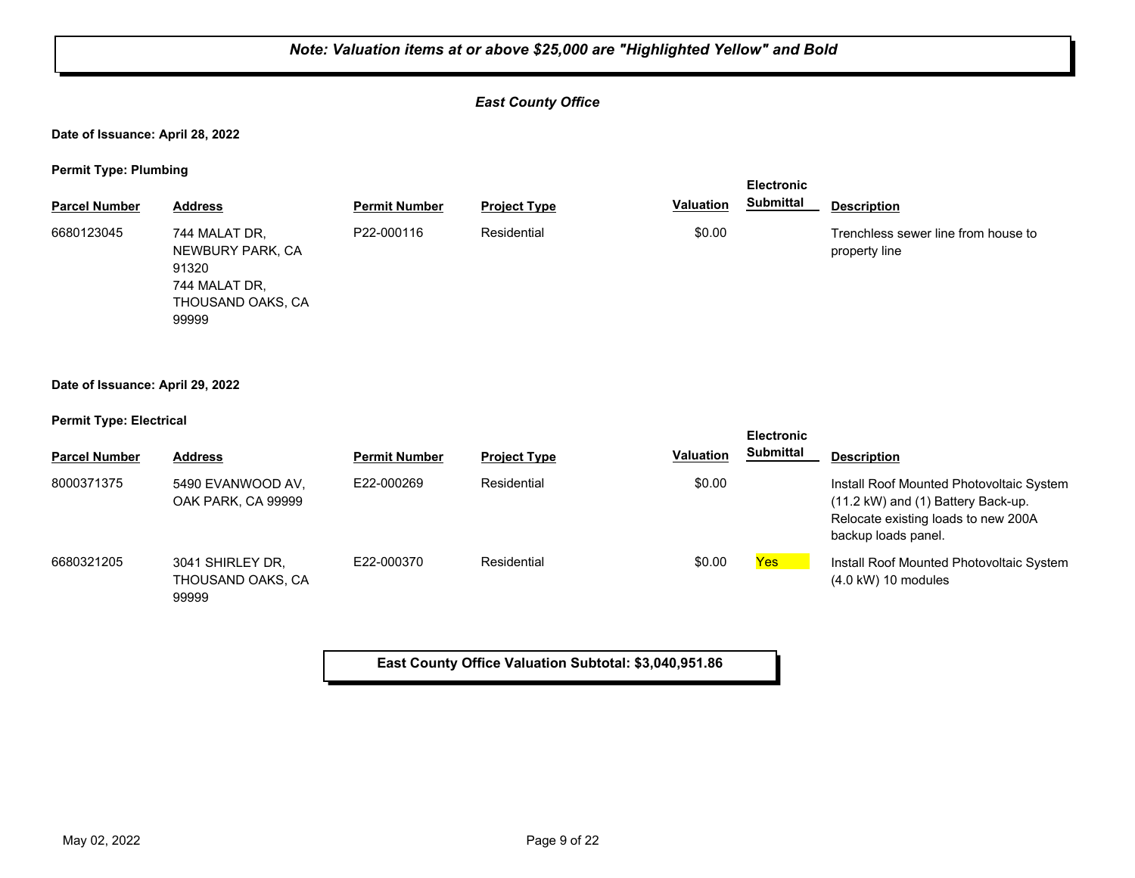#### *East County Office*

**Date of Issuance: April 28, 2022**

**Permit Type: Plumbing**

| - -                  |                                                                                           |                      |                     |           | <b>Electronic</b> |                                                      |
|----------------------|-------------------------------------------------------------------------------------------|----------------------|---------------------|-----------|-------------------|------------------------------------------------------|
| <b>Parcel Number</b> | <b>Address</b>                                                                            | <b>Permit Number</b> | <b>Project Type</b> | Valuation | <b>Submittal</b>  | <b>Description</b>                                   |
| 6680123045           | 744 MALAT DR,<br>NEWBURY PARK, CA<br>91320<br>744 MALAT DR,<br>THOUSAND OAKS, CA<br>99999 | P22-000116           | Residential         | \$0.00    |                   | Trenchless sewer line from house to<br>property line |
|                      |                                                                                           |                      |                     |           |                   |                                                      |

#### **Date of Issuance: April 29, 2022**

**Permit Type: Electrical**

| . .                  |                                                |                      |                     |                  | <b>Electronic</b> |                                                                                                                                              |
|----------------------|------------------------------------------------|----------------------|---------------------|------------------|-------------------|----------------------------------------------------------------------------------------------------------------------------------------------|
| <b>Parcel Number</b> | <b>Address</b>                                 | <b>Permit Number</b> | <b>Project Type</b> | <b>Valuation</b> | <b>Submittal</b>  | <b>Description</b>                                                                                                                           |
| 8000371375           | 5490 EVANWOOD AV.<br>OAK PARK, CA 99999        | E22-000269           | Residential         | \$0.00           |                   | Install Roof Mounted Photovoltaic System<br>(11.2 kW) and (1) Battery Back-up.<br>Relocate existing loads to new 200A<br>backup loads panel. |
| 6680321205           | 3041 SHIRLEY DR.<br>THOUSAND OAKS, CA<br>99999 | E22-000370           | Residential         | \$0.00           | Yes               | Install Roof Mounted Photovoltaic System<br>$(4.0 \text{ kW})$ 10 modules                                                                    |

**East County Office Valuation Subtotal: \$3,040,951.86**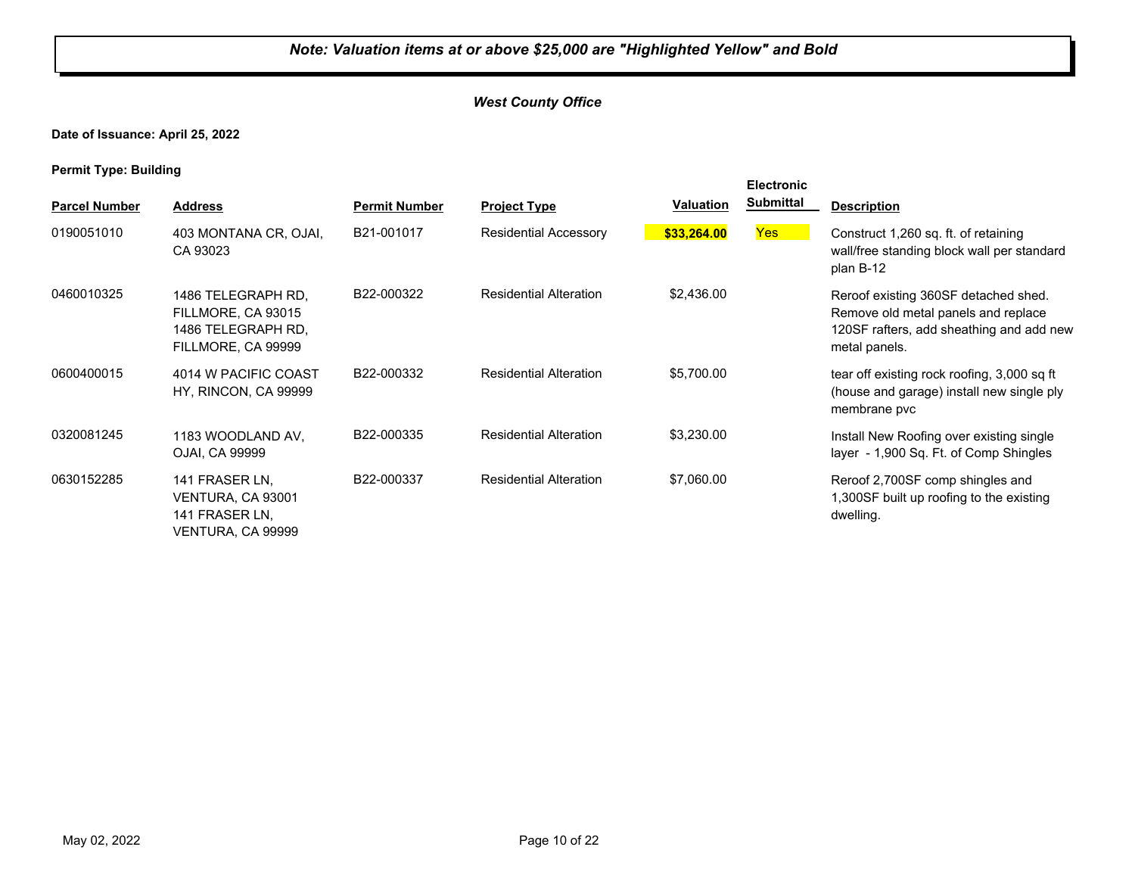#### *West County Office*

**Date of Issuance: April 25, 2022**

**Permit Type: Building**

| . .                  |                                                                                      |                      |                               |                  | <b>Electronic</b> |                                                                                                                                          |
|----------------------|--------------------------------------------------------------------------------------|----------------------|-------------------------------|------------------|-------------------|------------------------------------------------------------------------------------------------------------------------------------------|
| <b>Parcel Number</b> | <b>Address</b>                                                                       | <b>Permit Number</b> | <b>Project Type</b>           | <b>Valuation</b> | <b>Submittal</b>  | <b>Description</b>                                                                                                                       |
| 0190051010           | 403 MONTANA CR, OJAI,<br>CA 93023                                                    | B21-001017           | <b>Residential Accessory</b>  | \$33,264.00      | <b>Yes</b>        | Construct 1,260 sq. ft. of retaining<br>wall/free standing block wall per standard<br>plan B-12                                          |
| 0460010325           | 1486 TELEGRAPH RD,<br>FILLMORE, CA 93015<br>1486 TELEGRAPH RD.<br>FILLMORE, CA 99999 | B22-000322           | <b>Residential Alteration</b> | \$2,436.00       |                   | Reroof existing 360SF detached shed.<br>Remove old metal panels and replace<br>120SF rafters, add sheathing and add new<br>metal panels. |
| 0600400015           | 4014 W PACIFIC COAST<br>HY, RINCON, CA 99999                                         | B22-000332           | <b>Residential Alteration</b> | \$5,700.00       |                   | tear off existing rock roofing, 3,000 sq ft<br>(house and garage) install new single ply<br>membrane pvc                                 |
| 0320081245           | 1183 WOODLAND AV,<br>OJAI, CA 99999                                                  | B22-000335           | <b>Residential Alteration</b> | \$3,230.00       |                   | Install New Roofing over existing single<br>layer - 1,900 Sq. Ft. of Comp Shingles                                                       |
| 0630152285           | 141 FRASER LN,<br>VENTURA, CA 93001<br>141 FRASER LN.<br>VENTURA, CA 99999           | B22-000337           | <b>Residential Alteration</b> | \$7,060.00       |                   | Reroof 2,700SF comp shingles and<br>1,300SF built up roofing to the existing<br>dwelling.                                                |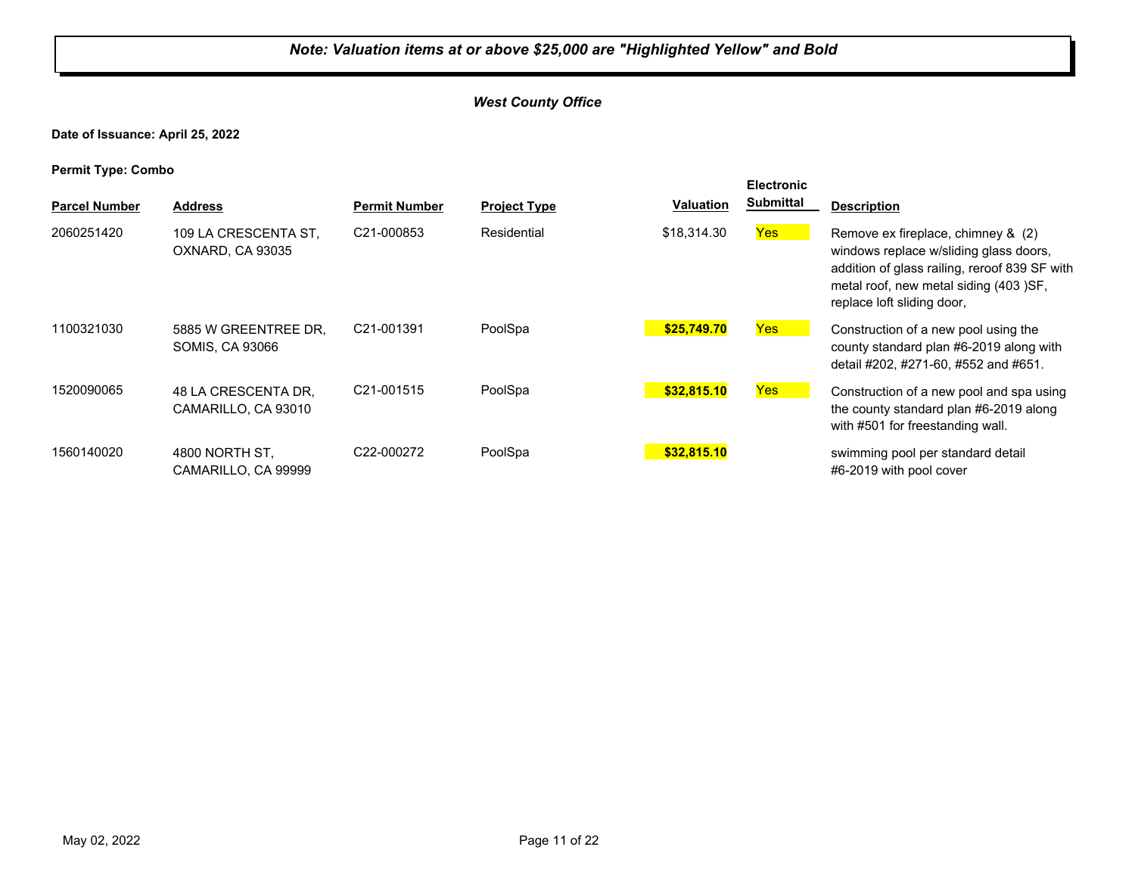#### *West County Office*

**Date of Issuance: April 25, 2022**

| . .<br><b>Parcel Number</b> | <b>Address</b>                             | <b>Permit Number</b>    | <b>Project Type</b> | <b>Valuation</b> | <b>Electronic</b><br><b>Submittal</b> | <b>Description</b>                                                                                                                                                                                    |
|-----------------------------|--------------------------------------------|-------------------------|---------------------|------------------|---------------------------------------|-------------------------------------------------------------------------------------------------------------------------------------------------------------------------------------------------------|
| 2060251420                  | 109 LA CRESCENTA ST,<br>OXNARD, CA 93035   | C21-000853              | Residential         | \$18,314,30      | Yes <sup>1</sup>                      | Remove ex fireplace, chimney & (2)<br>windows replace w/sliding glass doors,<br>addition of glass railing, reroof 839 SF with<br>metal roof, new metal siding (403) SF,<br>replace loft sliding door, |
| 1100321030                  | 5885 W GREENTREE DR.<br>SOMIS, CA 93066    | C21-001391              | PoolSpa             | \$25,749.70      | <b>Yes</b>                            | Construction of a new pool using the<br>county standard plan #6-2019 along with<br>detail #202, #271-60, #552 and #651.                                                                               |
| 1520090065                  | 48 LA CRESCENTA DR.<br>CAMARILLO, CA 93010 | C <sub>21</sub> -001515 | PoolSpa             | \$32,815.10      | Yes                                   | Construction of a new pool and spa using<br>the county standard plan #6-2019 along<br>with #501 for freestanding wall.                                                                                |
| 1560140020                  | 4800 NORTH ST.<br>CAMARILLO, CA 99999      | C22-000272              | PoolSpa             | \$32,815.10      |                                       | swimming pool per standard detail<br>#6-2019 with pool cover                                                                                                                                          |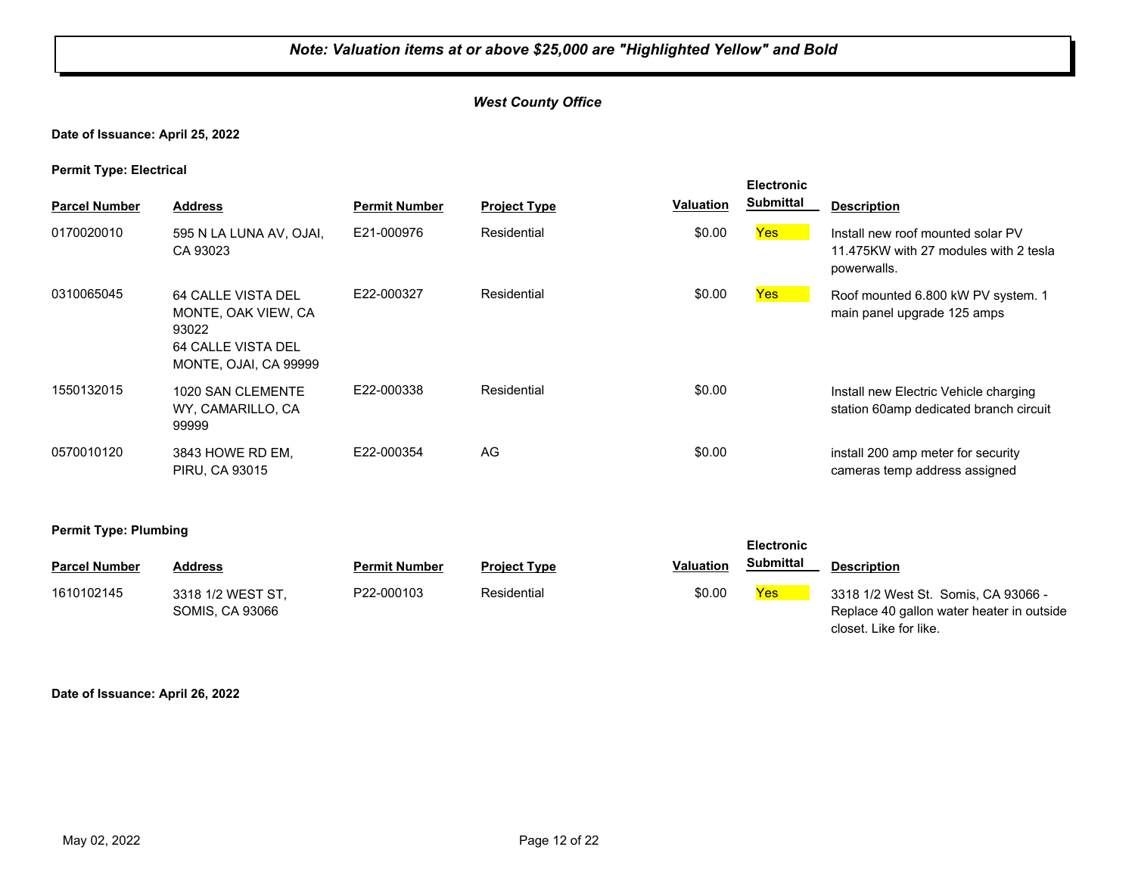#### *West County Office*

#### **Date of Issuance: April 25, 2022**

**Permit Type: Electrical**

| <b>Parcel Number</b> | <b>Address</b>                                                                                    | <b>Permit Number</b> | <b>Project Type</b> | <b>Valuation</b> | <b>Electronic</b><br><b>Submittal</b> | <b>Description</b>                                                                        |
|----------------------|---------------------------------------------------------------------------------------------------|----------------------|---------------------|------------------|---------------------------------------|-------------------------------------------------------------------------------------------|
| 0170020010           | 595 N LA LUNA AV, OJAI,<br>CA 93023                                                               | E21-000976           | Residential         | \$0.00           | Yes                                   | Install new roof mounted solar PV<br>11.475KW with 27 modules with 2 tesla<br>powerwalls. |
| 0310065045           | 64 CALLE VISTA DEL<br>MONTE, OAK VIEW, CA<br>93022<br>64 CALLE VISTA DEL<br>MONTE, OJAI, CA 99999 | E22-000327           | Residential         | \$0.00           | Yes                                   | Roof mounted 6.800 kW PV system. 1<br>main panel upgrade 125 amps                         |
| 1550132015           | 1020 SAN CLEMENTE<br>WY, CAMARILLO, CA<br>99999                                                   | E22-000338           | Residential         | \$0.00           |                                       | Install new Electric Vehicle charging<br>station 60amp dedicated branch circuit           |
| 0570010120           | 3843 HOWE RD EM,<br><b>PIRU, CA 93015</b>                                                         | E22-000354           | AG                  | \$0.00           |                                       | install 200 amp meter for security<br>cameras temp address assigned                       |

**Electronic** 

closet. Like for like.

**Permit Type: Plumbing**

| <b>Parcel Number</b> | <b>Address</b>                       | <b>Permit Number</b> | <b>Project Type</b> | <b>Valuation</b> | <b>Submittal</b> | Description                                                                      |
|----------------------|--------------------------------------|----------------------|---------------------|------------------|------------------|----------------------------------------------------------------------------------|
| 1610102145           | 3318 1/2 WEST ST.<br>SOMIS, CA 93066 | P22-000103           | Residential         | \$0.00           | Yes              | 3318 1/2 West St. Somis, CA 93066 -<br>Replace 40 gallon water heater in outside |

**Date of Issuance: April 26, 2022**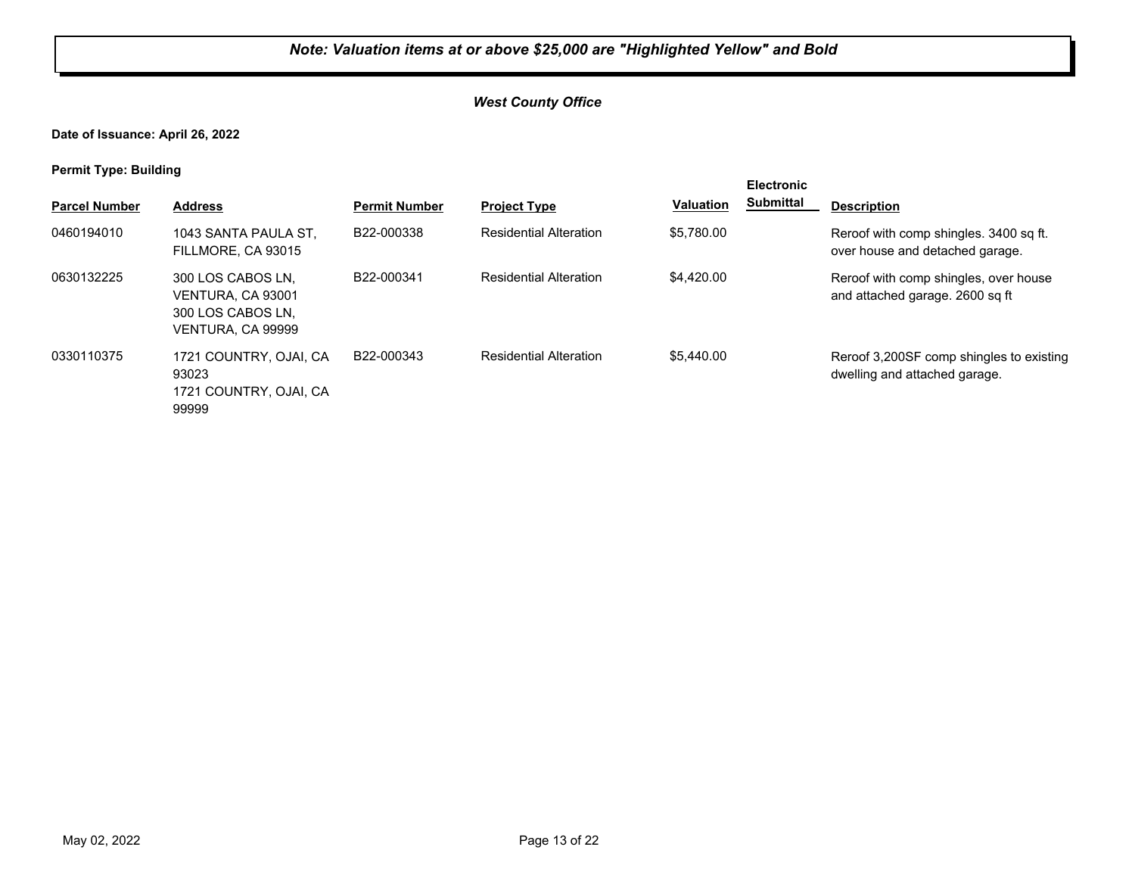#### *West County Office*

**Date of Issuance: April 26, 2022**

**Permit Type: Building**

| . .                  |                                                                                  |                      |                               |                  | <b>Electronic</b> |                                                                           |
|----------------------|----------------------------------------------------------------------------------|----------------------|-------------------------------|------------------|-------------------|---------------------------------------------------------------------------|
| <b>Parcel Number</b> | <b>Address</b>                                                                   | <b>Permit Number</b> | <b>Project Type</b>           | <b>Valuation</b> | <b>Submittal</b>  | <b>Description</b>                                                        |
| 0460194010           | 1043 SANTA PAULA ST.<br>FILLMORE, CA 93015                                       | B22-000338           | <b>Residential Alteration</b> | \$5.780.00       |                   | Reroof with comp shingles, 3400 sq ft.<br>over house and detached garage. |
| 0630132225           | 300 LOS CABOS LN.<br>VENTURA, CA 93001<br>300 LOS CABOS LN.<br>VENTURA, CA 99999 | B22-000341           | <b>Residential Alteration</b> | \$4,420.00       |                   | Reroof with comp shingles, over house<br>and attached garage. 2600 sq ft  |
| 0330110375           | 1721 COUNTRY, OJAI, CA<br>93023<br>1721 COUNTRY, OJAI, CA<br>99999               | B22-000343           | <b>Residential Alteration</b> | \$5.440.00       |                   | Reroof 3,200SF comp shingles to existing<br>dwelling and attached garage. |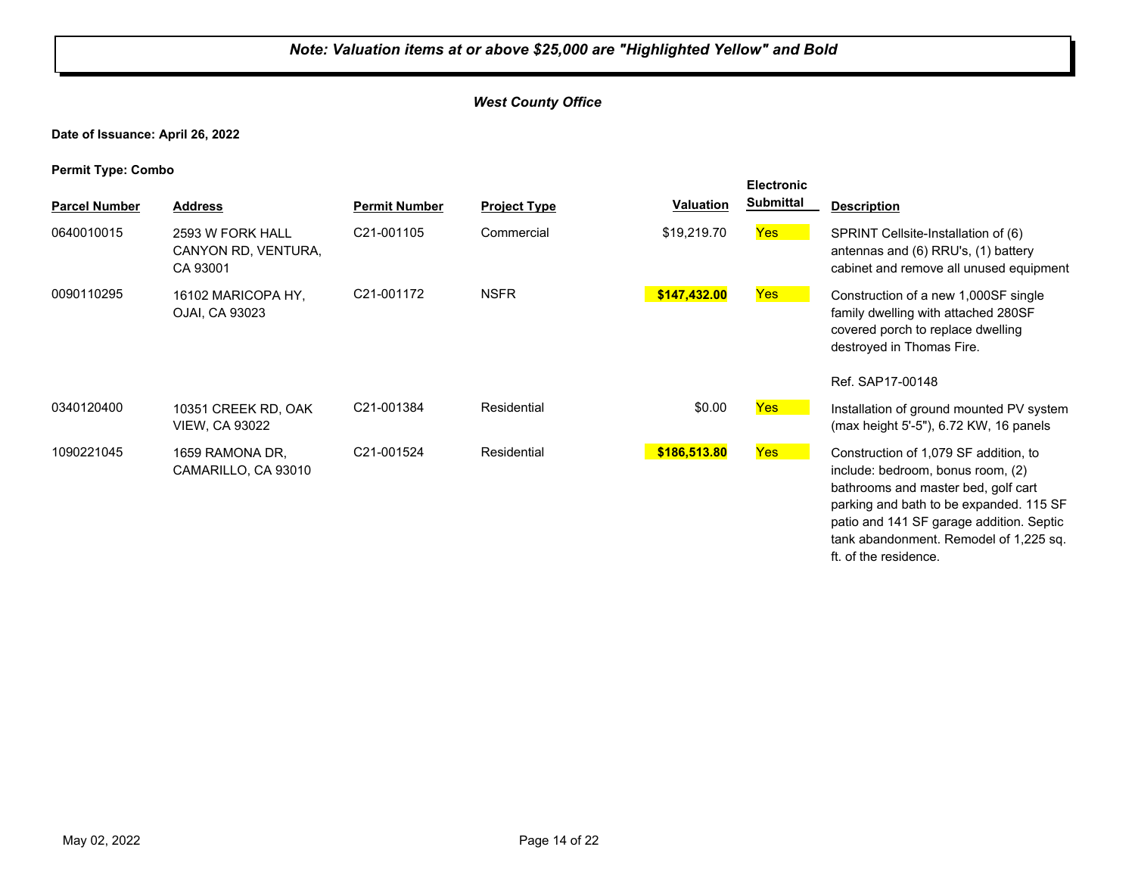#### *West County Office*

**Date of Issuance: April 26, 2022**

| <b>Parcel Number</b> | <b>Address</b>                                      | <b>Permit Number</b> | <b>Project Type</b> | <b>Valuation</b> | <b>Electronic</b><br><b>Submittal</b> | <b>Description</b>                                                                                                                                                                                                                                                          |
|----------------------|-----------------------------------------------------|----------------------|---------------------|------------------|---------------------------------------|-----------------------------------------------------------------------------------------------------------------------------------------------------------------------------------------------------------------------------------------------------------------------------|
| 0640010015           | 2593 W FORK HALL<br>CANYON RD, VENTURA,<br>CA 93001 | C21-001105           | Commercial          | \$19,219.70      | <b>Yes</b>                            | SPRINT Cellsite-Installation of (6)<br>antennas and (6) RRU's, (1) battery<br>cabinet and remove all unused equipment                                                                                                                                                       |
| 0090110295           | 16102 MARICOPA HY,<br>OJAI, CA 93023                | C21-001172           | <b>NSFR</b>         | \$147,432.00     | <b>Yes</b>                            | Construction of a new 1,000SF single<br>family dwelling with attached 280SF<br>covered porch to replace dwelling<br>destroyed in Thomas Fire.                                                                                                                               |
|                      |                                                     |                      |                     |                  |                                       | Ref. SAP17-00148                                                                                                                                                                                                                                                            |
| 0340120400           | 10351 CREEK RD, OAK<br><b>VIEW, CA 93022</b>        | C21-001384           | Residential         | \$0.00           | <b>Yes</b>                            | Installation of ground mounted PV system<br>(max height 5'-5"), 6.72 KW, 16 panels                                                                                                                                                                                          |
| 1090221045           | 1659 RAMONA DR.<br>CAMARILLO, CA 93010              | C21-001524           | Residential         | \$186,513.80     | <b>Yes</b>                            | Construction of 1,079 SF addition, to<br>include: bedroom, bonus room, (2)<br>bathrooms and master bed, golf cart<br>parking and bath to be expanded. 115 SF<br>patio and 141 SF garage addition. Septic<br>tank abandonment. Remodel of 1,225 sq.<br>ft. of the residence. |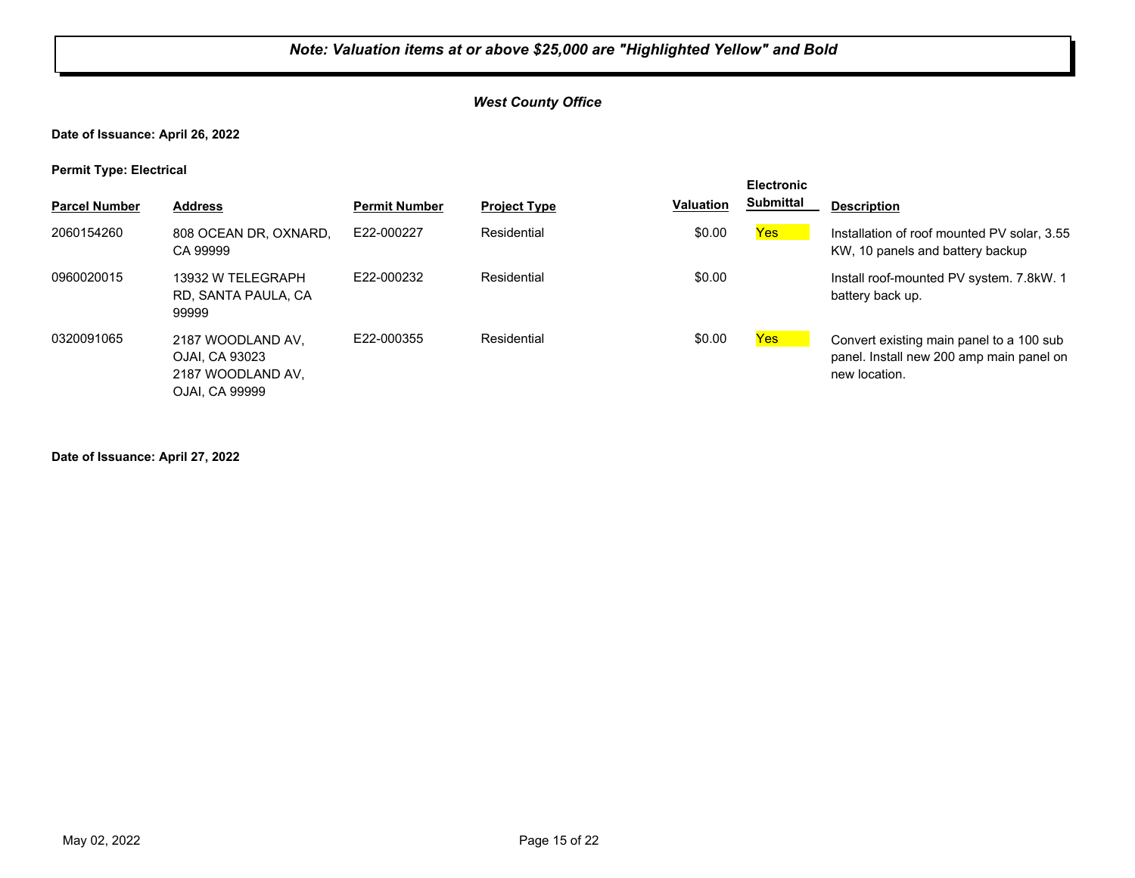#### *West County Office*

**Date of Issuance: April 26, 2022**

**Permit Type: Electrical**

| . .                  |                                                                                   |                      |                     |                  | <b>Electronic</b> |                                                                                                       |
|----------------------|-----------------------------------------------------------------------------------|----------------------|---------------------|------------------|-------------------|-------------------------------------------------------------------------------------------------------|
| <b>Parcel Number</b> | <b>Address</b>                                                                    | <b>Permit Number</b> | <b>Project Type</b> | <b>Valuation</b> | <b>Submittal</b>  | <b>Description</b>                                                                                    |
| 2060154260           | 808 OCEAN DR, OXNARD,<br>CA 99999                                                 | E22-000227           | Residential         | \$0.00           | Yes               | Installation of roof mounted PV solar, 3.55<br>KW, 10 panels and battery backup                       |
| 0960020015           | 13932 W TELEGRAPH<br>RD, SANTA PAULA, CA<br>99999                                 | E22-000232           | Residential         | \$0.00           |                   | Install roof-mounted PV system. 7.8 kW. 1<br>battery back up.                                         |
| 0320091065           | 2187 WOODLAND AV,<br>OJAI. CA 93023<br>2187 WOODLAND AV,<br><b>OJAI. CA 99999</b> | E22-000355           | Residential         | \$0.00           | Yes               | Convert existing main panel to a 100 sub<br>panel. Install new 200 amp main panel on<br>new location. |

**Date of Issuance: April 27, 2022**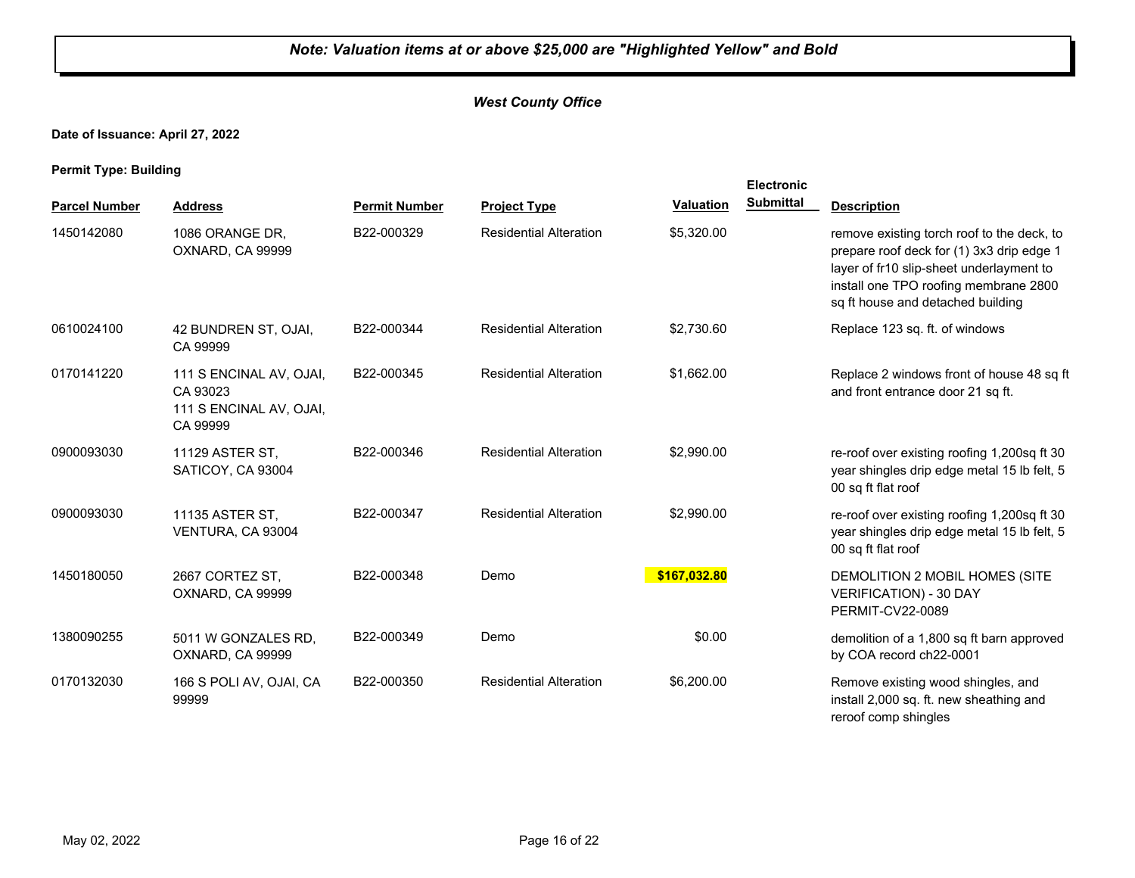#### *West County Office*

**Date of Issuance: April 27, 2022**

**Permit Type: Building**

| <b>Parcel Number</b> | <b>Address</b>                                                             | <b>Permit Number</b> | <b>Project Type</b>           | <b>Valuation</b> | Electronic<br><b>Submittal</b> | <b>Description</b>                                                                                                                                                                                                |
|----------------------|----------------------------------------------------------------------------|----------------------|-------------------------------|------------------|--------------------------------|-------------------------------------------------------------------------------------------------------------------------------------------------------------------------------------------------------------------|
| 1450142080           | 1086 ORANGE DR,<br>OXNARD, CA 99999                                        | B22-000329           | <b>Residential Alteration</b> | \$5,320.00       |                                | remove existing torch roof to the deck, to<br>prepare roof deck for (1) 3x3 drip edge 1<br>layer of fr10 slip-sheet underlayment to<br>install one TPO roofing membrane 2800<br>sq ft house and detached building |
| 0610024100           | 42 BUNDREN ST, OJAI,<br>CA 99999                                           | B22-000344           | <b>Residential Alteration</b> | \$2,730.60       |                                | Replace 123 sq. ft. of windows                                                                                                                                                                                    |
| 0170141220           | 111 S ENCINAL AV, OJAI,<br>CA 93023<br>111 S ENCINAL AV, OJAI,<br>CA 99999 | B22-000345           | <b>Residential Alteration</b> | \$1,662.00       |                                | Replace 2 windows front of house 48 sq ft<br>and front entrance door 21 sq ft.                                                                                                                                    |
| 0900093030           | 11129 ASTER ST,<br>SATICOY, CA 93004                                       | B22-000346           | <b>Residential Alteration</b> | \$2,990.00       |                                | re-roof over existing roofing 1,200sq ft 30<br>year shingles drip edge metal 15 lb felt, 5<br>00 sq ft flat roof                                                                                                  |
| 0900093030           | 11135 ASTER ST,<br>VENTURA, CA 93004                                       | B22-000347           | <b>Residential Alteration</b> | \$2,990.00       |                                | re-roof over existing roofing 1,200sq ft 30<br>year shingles drip edge metal 15 lb felt, 5<br>00 sq ft flat roof                                                                                                  |
| 1450180050           | 2667 CORTEZ ST,<br>OXNARD, CA 99999                                        | B22-000348           | Demo                          | \$167,032.80     |                                | DEMOLITION 2 MOBIL HOMES (SITE<br><b>VERIFICATION) - 30 DAY</b><br>PERMIT-CV22-0089                                                                                                                               |
| 1380090255           | 5011 W GONZALES RD,<br>OXNARD, CA 99999                                    | B22-000349           | Demo                          | \$0.00           |                                | demolition of a 1,800 sq ft barn approved<br>by COA record ch22-0001                                                                                                                                              |
| 0170132030           | 166 S POLI AV, OJAI, CA<br>99999                                           | B22-000350           | <b>Residential Alteration</b> | \$6,200.00       |                                | Remove existing wood shingles, and<br>install 2,000 sq. ft. new sheathing and<br>reroof comp shingles                                                                                                             |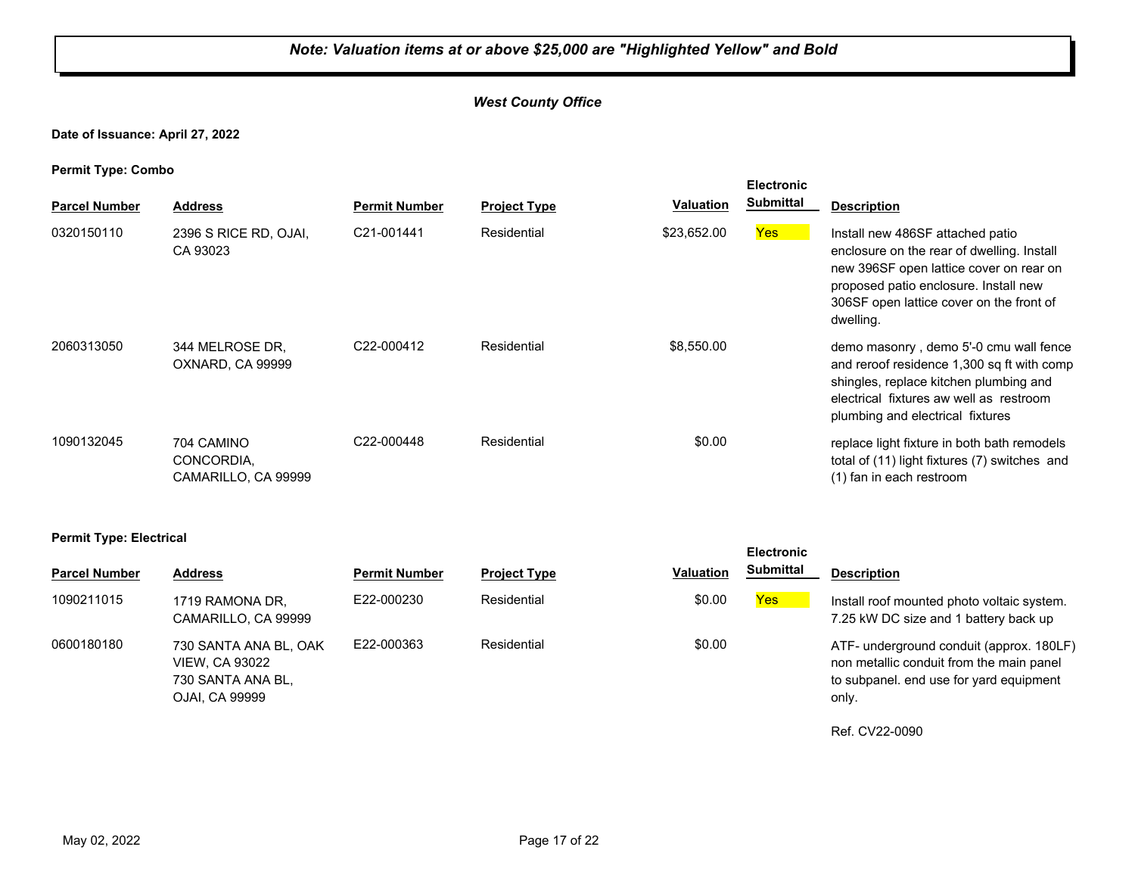#### *West County Office*

#### **Date of Issuance: April 27, 2022**

**Permit Type: Combo**

| . .<br><b>Parcel Number</b> | <b>Address</b>                                  | <b>Permit Number</b> | <b>Project Type</b> | <b>Valuation</b> | <b>Electronic</b><br><b>Submittal</b> | <b>Description</b>                                                                                                                                                                                                          |
|-----------------------------|-------------------------------------------------|----------------------|---------------------|------------------|---------------------------------------|-----------------------------------------------------------------------------------------------------------------------------------------------------------------------------------------------------------------------------|
| 0320150110                  | 2396 S RICE RD, OJAI,<br>CA 93023               | C21-001441           | Residential         | \$23,652.00      | Yes                                   | Install new 486SF attached patio<br>enclosure on the rear of dwelling. Install<br>new 396SF open lattice cover on rear on<br>proposed patio enclosure. Install new<br>306SF open lattice cover on the front of<br>dwelling. |
| 2060313050                  | 344 MELROSE DR.<br>OXNARD, CA 99999             | C22-000412           | Residential         | \$8.550.00       |                                       | demo masonry, demo 5'-0 cmu wall fence<br>and reroof residence 1,300 sq ft with comp<br>shingles, replace kitchen plumbing and<br>electrical fixtures aw well as restroom<br>plumbing and electrical fixtures               |
| 1090132045                  | 704 CAMINO<br>CONCORDIA,<br>CAMARILLO, CA 99999 | C22-000448           | Residential         | \$0.00           |                                       | replace light fixture in both bath remodels<br>total of (11) light fixtures (7) switches and<br>(1) fan in each restroom                                                                                                    |

#### **Permit Type: Electrical**

| <b>Parcel Number</b> | <b>Address</b>                                                                        | <b>Permit Number</b> | <b>Project Type</b> | <b>Valuation</b> | <b>Submittal</b> | <b>Description</b>                                                                                                                       |
|----------------------|---------------------------------------------------------------------------------------|----------------------|---------------------|------------------|------------------|------------------------------------------------------------------------------------------------------------------------------------------|
| 1090211015           | 1719 RAMONA DR.<br>CAMARILLO, CA 99999                                                | E22-000230           | Residential         | \$0.00           | Yes              | Install roof mounted photo voltaic system.<br>7.25 kW DC size and 1 battery back up                                                      |
| 0600180180           | 730 SANTA ANA BL, OAK<br><b>VIEW, CA 93022</b><br>730 SANTA ANA BL.<br>OJAI, CA 99999 | E22-000363           | Residential         | \$0.00           |                  | ATF- underground conduit (approx. 180LF)<br>non metallic conduit from the main panel<br>to subpanel, end use for yard equipment<br>only. |

Ref. CV22-0090

**Electronic**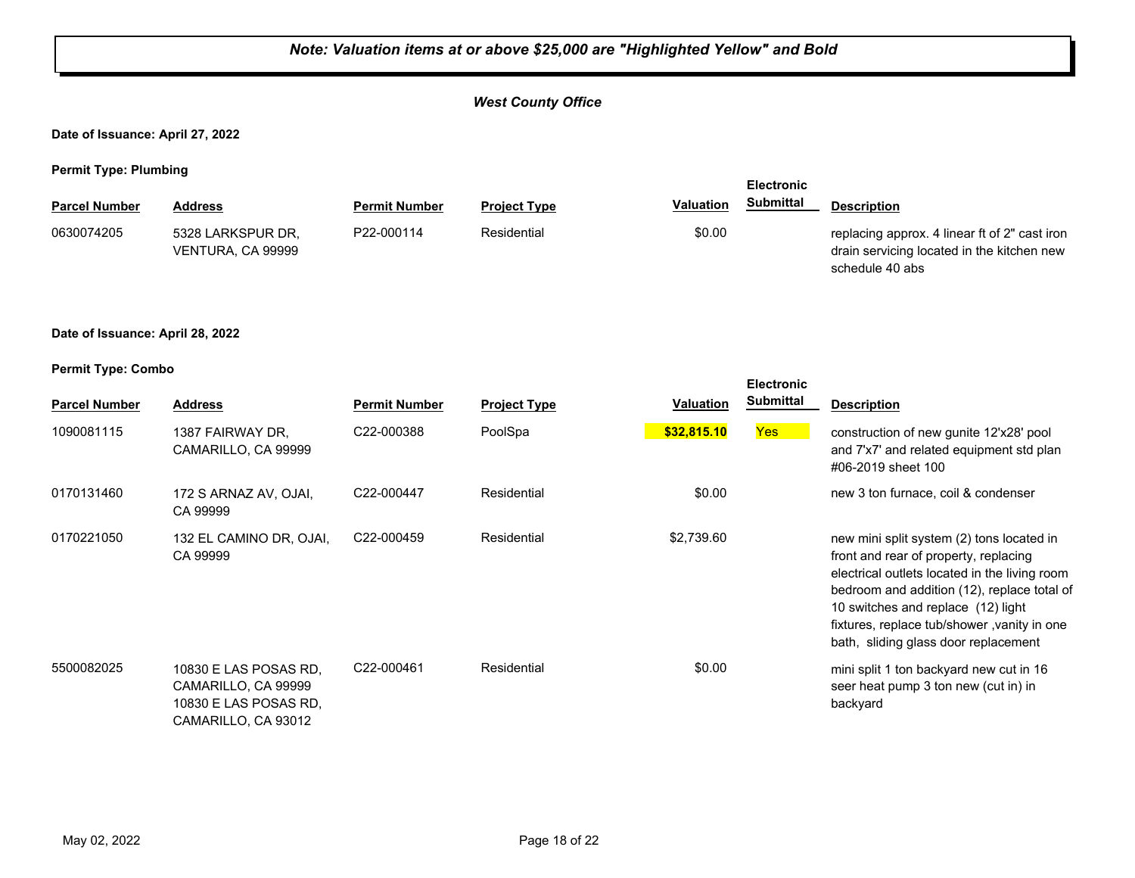#### *West County Office*

**Date of Issuance: April 27, 2022**

**Permit Type: Plumbing**

| . .                  |                                        |                      |                     |                  | <b>Electronic</b> |                                                                                                                |
|----------------------|----------------------------------------|----------------------|---------------------|------------------|-------------------|----------------------------------------------------------------------------------------------------------------|
| <b>Parcel Number</b> | Address                                | <b>Permit Number</b> | <b>Project Type</b> | <b>Valuation</b> | Submittal         | <b>Description</b>                                                                                             |
| 0630074205           | 5328 LARKSPUR DR.<br>VENTURA, CA 99999 | P22-000114           | Residential         | \$0.00           |                   | replacing approx. 4 linear ft of 2" cast iron<br>drain servicing located in the kitchen new<br>schedule 40 abs |

#### **Date of Issuance: April 28, 2022**

| <b>Parcel Number</b> | <b>Address</b>                                                                               | <b>Permit Number</b>    | <b>Project Type</b> | <b>Valuation</b> | <b>Electronic</b><br><b>Submittal</b> | <b>Description</b>                                                                                                                                                                                                                                                                                              |
|----------------------|----------------------------------------------------------------------------------------------|-------------------------|---------------------|------------------|---------------------------------------|-----------------------------------------------------------------------------------------------------------------------------------------------------------------------------------------------------------------------------------------------------------------------------------------------------------------|
| 1090081115           | 1387 FAIRWAY DR.<br>CAMARILLO, CA 99999                                                      | C22-000388              | PoolSpa             | \$32,815.10      | <b>Yes</b>                            | construction of new gunite 12'x28' pool<br>and 7'x7' and related equipment std plan<br>#06-2019 sheet 100                                                                                                                                                                                                       |
| 0170131460           | 172 S ARNAZ AV, OJAI,<br>CA 99999                                                            | C22-000447              | Residential         | \$0.00           |                                       | new 3 ton furnace, coil & condenser                                                                                                                                                                                                                                                                             |
| 0170221050           | 132 EL CAMINO DR, OJAI,<br>CA 99999                                                          | C <sub>22</sub> -000459 | Residential         | \$2,739.60       |                                       | new mini split system (2) tons located in<br>front and rear of property, replacing<br>electrical outlets located in the living room<br>bedroom and addition (12), replace total of<br>10 switches and replace (12) light<br>fixtures, replace tub/shower, vanity in one<br>bath, sliding glass door replacement |
| 5500082025           | 10830 E LAS POSAS RD.<br>CAMARILLO, CA 99999<br>10830 E LAS POSAS RD.<br>CAMARILLO, CA 93012 | C22-000461              | Residential         | \$0.00           |                                       | mini split 1 ton backyard new cut in 16<br>seer heat pump 3 ton new (cut in) in<br>backyard                                                                                                                                                                                                                     |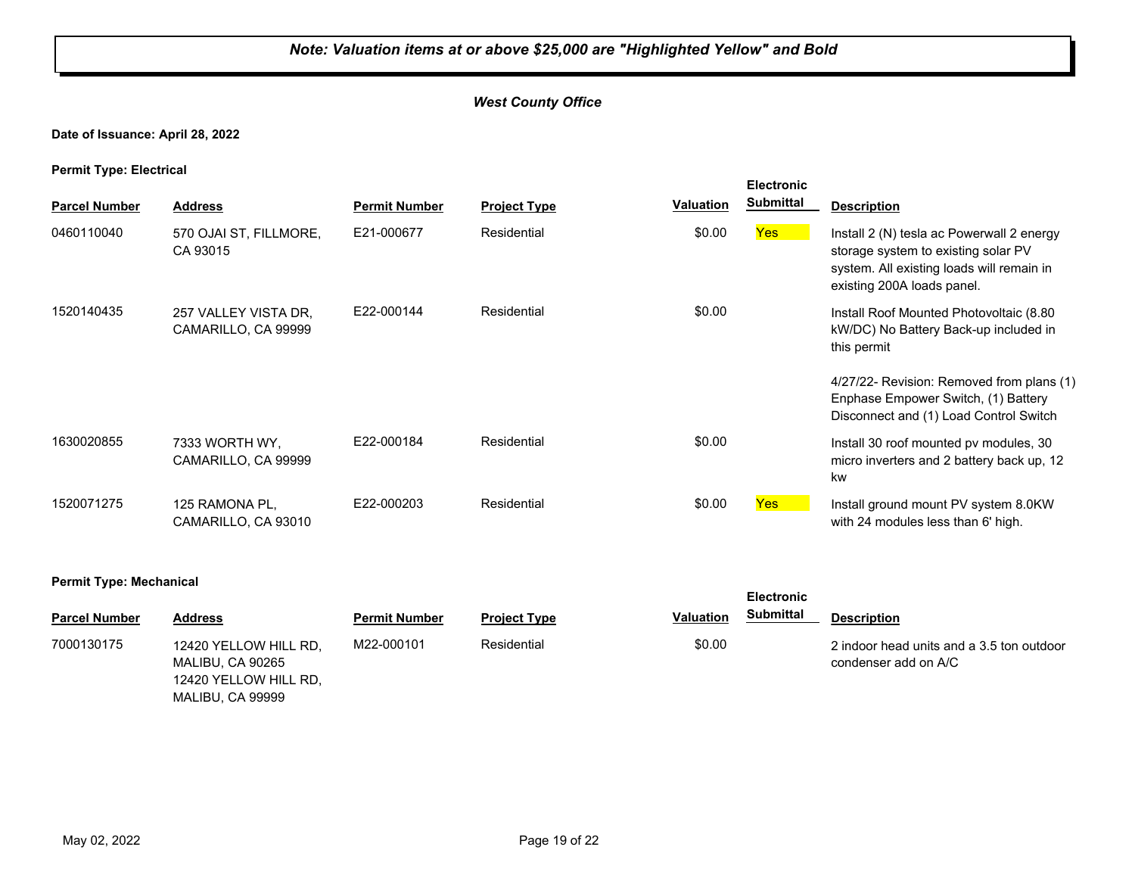#### *West County Office*

#### **Date of Issuance: April 28, 2022**

**Permit Type: Electrical**

| . .                  |                                             |                      |                     |                  | <b>Electronic</b> |                                                                                                                                                             |
|----------------------|---------------------------------------------|----------------------|---------------------|------------------|-------------------|-------------------------------------------------------------------------------------------------------------------------------------------------------------|
| <b>Parcel Number</b> | <b>Address</b>                              | <b>Permit Number</b> | <b>Project Type</b> | <b>Valuation</b> | <b>Submittal</b>  | <b>Description</b>                                                                                                                                          |
| 0460110040           | 570 OJAI ST, FILLMORE,<br>CA 93015          | E21-000677           | Residential         | \$0.00           | <b>Yes</b>        | Install 2 (N) tesla ac Powerwall 2 energy<br>storage system to existing solar PV<br>system. All existing loads will remain in<br>existing 200A loads panel. |
| 1520140435           | 257 VALLEY VISTA DR.<br>CAMARILLO, CA 99999 | E22-000144           | Residential         | \$0.00           |                   | Install Roof Mounted Photovoltaic (8.80<br>kW/DC) No Battery Back-up included in<br>this permit                                                             |
|                      |                                             |                      |                     |                  |                   | 4/27/22- Revision: Removed from plans (1)<br>Enphase Empower Switch, (1) Battery<br>Disconnect and (1) Load Control Switch                                  |
| 1630020855           | 7333 WORTH WY,<br>CAMARILLO, CA 99999       | E22-000184           | Residential         | \$0.00           |                   | Install 30 roof mounted pv modules, 30<br>micro inverters and 2 battery back up, 12<br>kw                                                                   |
| 1520071275           | 125 RAMONA PL,<br>CAMARILLO, CA 93010       | E22-000203           | Residential         | \$0.00           | <b>Yes</b>        | Install ground mount PV system 8.0KW<br>with 24 modules less than 6' high.                                                                                  |

#### **Permit Type: Mechanical**

| <b>Parcel Number</b> | Address                                                                                | <b>Permit Number</b> | <b>Project Type</b> | <b>Valuation</b> | <b>Submittal</b> | <b>Description</b>                                                |
|----------------------|----------------------------------------------------------------------------------------|----------------------|---------------------|------------------|------------------|-------------------------------------------------------------------|
| 7000130175           | 12420 YELLOW HILL RD,<br>MALIBU. CA 90265<br>12420 YELLOW HILL RD,<br>MALIBU, CA 99999 | M22-000101           | Residential         | \$0.00           |                  | 2 indoor head units and a 3.5 ton outdoor<br>condenser add on A/C |

**Electronic**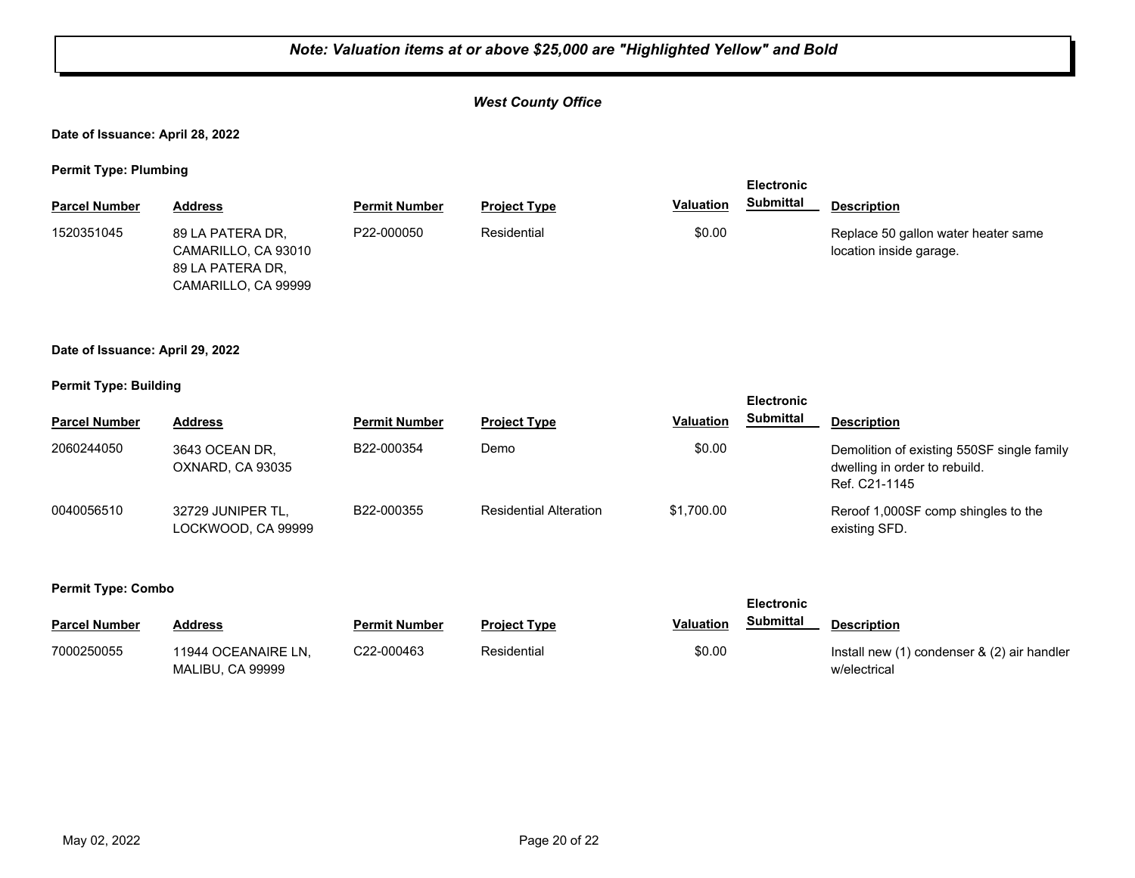#### *West County Office*

**Date of Issuance: April 28, 2022**

**Permit Type: Plumbing**

| . .                  |                                                                                    |                      |                     |                  | <b>Electronic</b> |                                                                |
|----------------------|------------------------------------------------------------------------------------|----------------------|---------------------|------------------|-------------------|----------------------------------------------------------------|
| <b>Parcel Number</b> | <b>Address</b>                                                                     | <b>Permit Number</b> | <b>Project Type</b> | <b>Valuation</b> | Submittal         | <b>Description</b>                                             |
| 1520351045           | 89 LA PATERA DR.<br>CAMARILLO, CA 93010<br>89 LA PATERA DR.<br>CAMARILLO, CA 99999 | P22-000050           | Residential         | \$0.00           |                   | Replace 50 gallon water heater same<br>location inside garage. |

#### **Date of Issuance: April 29, 2022**

#### **Permit Type: Building**

|                      |                                         | <b>Electronic</b>    |                               |                  |                  |                                                                                              |
|----------------------|-----------------------------------------|----------------------|-------------------------------|------------------|------------------|----------------------------------------------------------------------------------------------|
| <b>Parcel Number</b> | <b>Address</b>                          | <b>Permit Number</b> | <b>Project Type</b>           | <b>Valuation</b> | <b>Submittal</b> | <b>Description</b>                                                                           |
| 2060244050           | 3643 OCEAN DR,<br>OXNARD, CA 93035      | B22-000354           | Demo                          | \$0.00           |                  | Demolition of existing 550SF single family<br>dwelling in order to rebuild.<br>Ref. C21-1145 |
| 0040056510           | 32729 JUNIPER TL.<br>LOCKWOOD. CA 99999 | B22-000355           | <b>Residential Alteration</b> | \$1.700.00       |                  | Reroof 1,000SF comp shingles to the<br>existing SFD.                                         |

|                      |                                         |               |                     |           | <b>Electronic</b> |                                                             |
|----------------------|-----------------------------------------|---------------|---------------------|-----------|-------------------|-------------------------------------------------------------|
| <b>Parcel Number</b> | Address                                 | Permit Number | <b>Project Type</b> | Valuation | Submittal         | <b>Description</b>                                          |
| 7000250055           | 11944 OCEANAIRE LN.<br>MALIBU, CA 99999 | C22-000463    | Residential         | \$0.00    |                   | Install new (1) condenser & (2) air handler<br>w/electrical |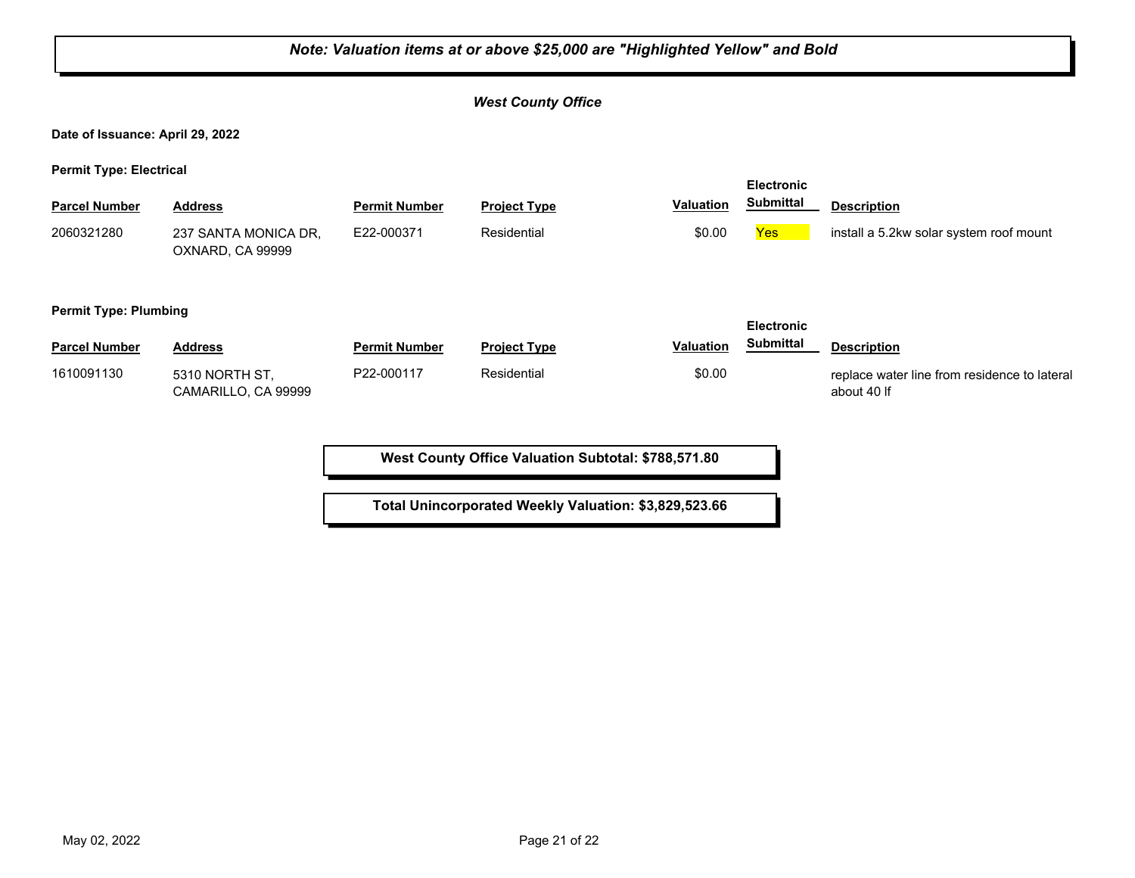|                                  | Note: Valuation items at or above \$25,000 are "Highlighted Yellow" and Bold |                      |                           |                  |                   |                                                             |  |  |  |
|----------------------------------|------------------------------------------------------------------------------|----------------------|---------------------------|------------------|-------------------|-------------------------------------------------------------|--|--|--|
|                                  |                                                                              |                      | <b>West County Office</b> |                  |                   |                                                             |  |  |  |
| Date of Issuance: April 29, 2022 |                                                                              |                      |                           |                  |                   |                                                             |  |  |  |
| <b>Permit Type: Electrical</b>   |                                                                              |                      |                           |                  | <b>Electronic</b> |                                                             |  |  |  |
| <b>Parcel Number</b>             | <b>Address</b>                                                               | <b>Permit Number</b> | <b>Project Type</b>       | <b>Valuation</b> | <b>Submittal</b>  | <b>Description</b>                                          |  |  |  |
| 2060321280                       | 237 SANTA MONICA DR,<br>OXNARD, CA 99999                                     | E22-000371           | Residential               | \$0.00           | Yes               | install a 5.2kw solar system roof mount                     |  |  |  |
| <b>Permit Type: Plumbing</b>     |                                                                              |                      |                           |                  | <b>Electronic</b> |                                                             |  |  |  |
| <b>Parcel Number</b>             | <b>Address</b>                                                               | <b>Permit Number</b> | <b>Project Type</b>       | <b>Valuation</b> | <b>Submittal</b>  | <b>Description</b>                                          |  |  |  |
| 1610091130                       | 5310 NORTH ST,<br>CAMARILLO, CA 99999                                        | P22-000117           | Residential               | \$0.00           |                   | replace water line from residence to lateral<br>about 40 If |  |  |  |
|                                  |                                                                              |                      |                           |                  |                   |                                                             |  |  |  |

h

**Total Unincorporated Weekly Valuation: \$3,829,523.66**